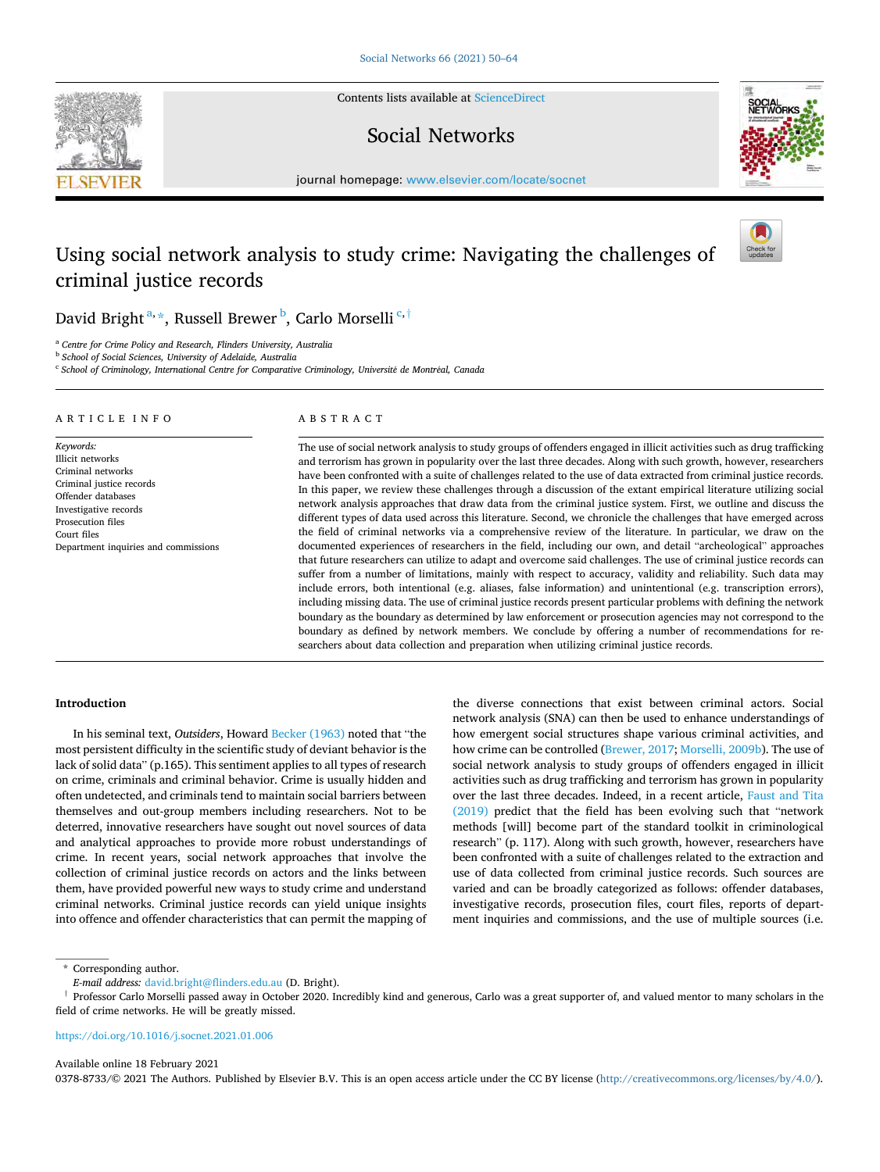Contents lists available at [ScienceDirect](www.sciencedirect.com/science/journal/03788733)

## Social Networks



journal homepage: [www.elsevier.com/locate/socnet](https://www.elsevier.com/locate/socnet) 

# Using social network analysis to study crime: Navigating the challenges of criminal justice records



## David Bright  $^{\mathrm{a},\star}$ , Russell Brewer  $^{\mathrm{b}}$ , Carlo Morselli  $^{\mathrm{c},\dagger}$

<sup>a</sup> *Centre for Crime Policy and Research, Flinders University, Australia* 

<sup>b</sup> *School of Social Sciences, University of Adelaide, Australia* 

<sup>c</sup> *School of Criminology, International Centre for Comparative Criminology, Universit*´*e de Montr*´*eal, Canada* 

#### A R T I C L E I N F O

*Keywords:*  Illicit networks Criminal networks Criminal justice records Offender databases Investigative records Prosecution files Court files Department inquiries and commissions

#### ABSTRACT

The use of social network analysis to study groups of offenders engaged in illicit activities such as drug trafficking and terrorism has grown in popularity over the last three decades. Along with such growth, however, researchers have been confronted with a suite of challenges related to the use of data extracted from criminal justice records. In this paper, we review these challenges through a discussion of the extant empirical literature utilizing social network analysis approaches that draw data from the criminal justice system. First, we outline and discuss the different types of data used across this literature. Second, we chronicle the challenges that have emerged across the field of criminal networks via a comprehensive review of the literature. In particular, we draw on the documented experiences of researchers in the field, including our own, and detail "archeological" approaches that future researchers can utilize to adapt and overcome said challenges. The use of criminal justice records can suffer from a number of limitations, mainly with respect to accuracy, validity and reliability. Such data may include errors, both intentional (e.g. aliases, false information) and unintentional (e.g. transcription errors), including missing data. The use of criminal justice records present particular problems with defining the network boundary as the boundary as determined by law enforcement or prosecution agencies may not correspond to the boundary as defined by network members. We conclude by offering a number of recommendations for researchers about data collection and preparation when utilizing criminal justice records.

#### **Introduction**

In his seminal text, *Outsiders*, Howard [Becker \(1963\)](#page-13-0) noted that "the most persistent difficulty in the scientific study of deviant behavior is the lack of solid data" (p.165). This sentiment applies to all types of research on crime, criminals and criminal behavior. Crime is usually hidden and often undetected, and criminals tend to maintain social barriers between themselves and out-group members including researchers. Not to be deterred, innovative researchers have sought out novel sources of data and analytical approaches to provide more robust understandings of crime. In recent years, social network approaches that involve the collection of criminal justice records on actors and the links between them, have provided powerful new ways to study crime and understand criminal networks. Criminal justice records can yield unique insights into offence and offender characteristics that can permit the mapping of

the diverse connections that exist between criminal actors. Social network analysis (SNA) can then be used to enhance understandings of how emergent social structures shape various criminal activities, and how crime can be controlled ([Brewer, 2017;](#page-13-0) [Morselli, 2009b\)](#page-14-0). The use of social network analysis to study groups of offenders engaged in illicit activities such as drug trafficking and terrorism has grown in popularity over the last three decades. Indeed, in a recent article, [Faust and Tita](#page-14-0)  [\(2019\)](#page-14-0) predict that the field has been evolving such that "network methods [will] become part of the standard toolkit in criminological research" (p. 117). Along with such growth, however, researchers have been confronted with a suite of challenges related to the extraction and use of data collected from criminal justice records. Such sources are varied and can be broadly categorized as follows: offender databases, investigative records, prosecution files, court files, reports of department inquiries and commissions, and the use of multiple sources (i.e.

\* Corresponding author.

† Professor Carlo Morselli passed away in October 2020. Incredibly kind and generous, Carlo was a great supporter of, and valued mentor to many scholars in the field of crime networks. He will be greatly missed.

#### <https://doi.org/10.1016/j.socnet.2021.01.006>

#### Available online 18 February 2021

0378-8733/© 2021 The Authors. Published by Elsevier B.V. This is an open access article under the CC BY license [\(http://creativecommons.org/licenses/by/4.0/\)](http://creativecommons.org/licenses/by/4.0/).



*E-mail address:* [david.bright@flinders.edu.au](mailto:david.bright@flinders.edu.au) (D. Bright).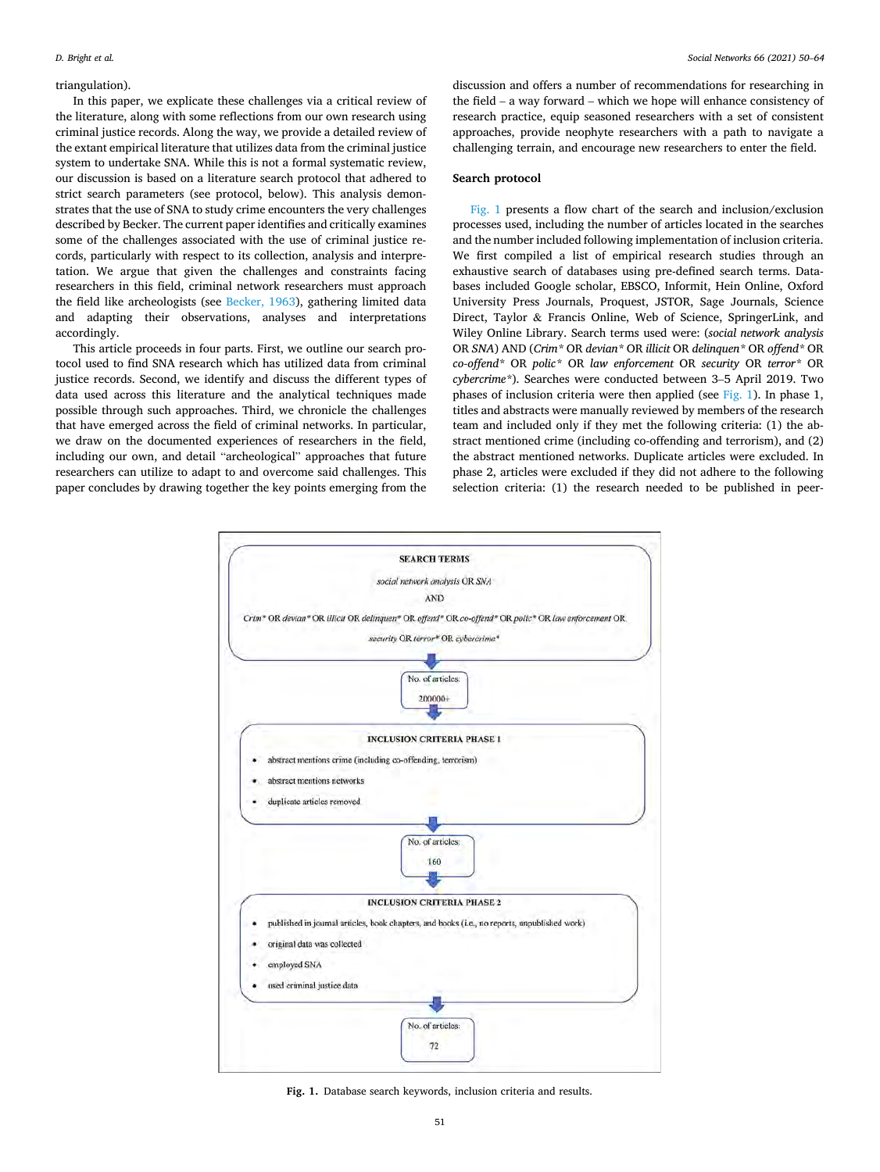#### triangulation).

In this paper, we explicate these challenges via a critical review of the literature, along with some reflections from our own research using criminal justice records. Along the way, we provide a detailed review of the extant empirical literature that utilizes data from the criminal justice system to undertake SNA. While this is not a formal systematic review, our discussion is based on a literature search protocol that adhered to strict search parameters (see protocol, below). This analysis demonstrates that the use of SNA to study crime encounters the very challenges described by Becker. The current paper identifies and critically examines some of the challenges associated with the use of criminal justice records, particularly with respect to its collection, analysis and interpretation. We argue that given the challenges and constraints facing researchers in this field, criminal network researchers must approach the field like archeologists (see [Becker, 1963](#page-13-0)), gathering limited data and adapting their observations, analyses and interpretations accordingly.

This article proceeds in four parts. First, we outline our search protocol used to find SNA research which has utilized data from criminal justice records. Second, we identify and discuss the different types of data used across this literature and the analytical techniques made possible through such approaches. Third, we chronicle the challenges that have emerged across the field of criminal networks. In particular, we draw on the documented experiences of researchers in the field, including our own, and detail "archeological" approaches that future researchers can utilize to adapt to and overcome said challenges. This paper concludes by drawing together the key points emerging from the

discussion and offers a number of recommendations for researching in the field – a way forward – which we hope will enhance consistency of research practice, equip seasoned researchers with a set of consistent approaches, provide neophyte researchers with a path to navigate a challenging terrain, and encourage new researchers to enter the field.

#### **Search protocol**

Fig. 1 presents a flow chart of the search and inclusion/exclusion processes used, including the number of articles located in the searches and the number included following implementation of inclusion criteria. We first compiled a list of empirical research studies through an exhaustive search of databases using pre-defined search terms. Databases included Google scholar, EBSCO, Informit, Hein Online, Oxford University Press Journals, Proquest, JSTOR, Sage Journals, Science Direct, Taylor & Francis Online, Web of Science, SpringerLink, and Wiley Online Library. Search terms used were: (*social network analysis*  OR *SNA*) AND (*Crim\** OR *devian\** OR *illicit* OR *delinquen\** OR *offend\** OR *co-offend\** OR *polic\** OR *law enforcement* OR *security* OR *terror\** OR *cybercrime\**). Searches were conducted between 3–5 April 2019. Two phases of inclusion criteria were then applied (see Fig. 1). In phase 1, titles and abstracts were manually reviewed by members of the research team and included only if they met the following criteria: (1) the abstract mentioned crime (including co-offending and terrorism), and (2) the abstract mentioned networks. Duplicate articles were excluded. In phase 2, articles were excluded if they did not adhere to the following selection criteria: (1) the research needed to be published in peer-



**Fig. 1.** Database search keywords, inclusion criteria and results.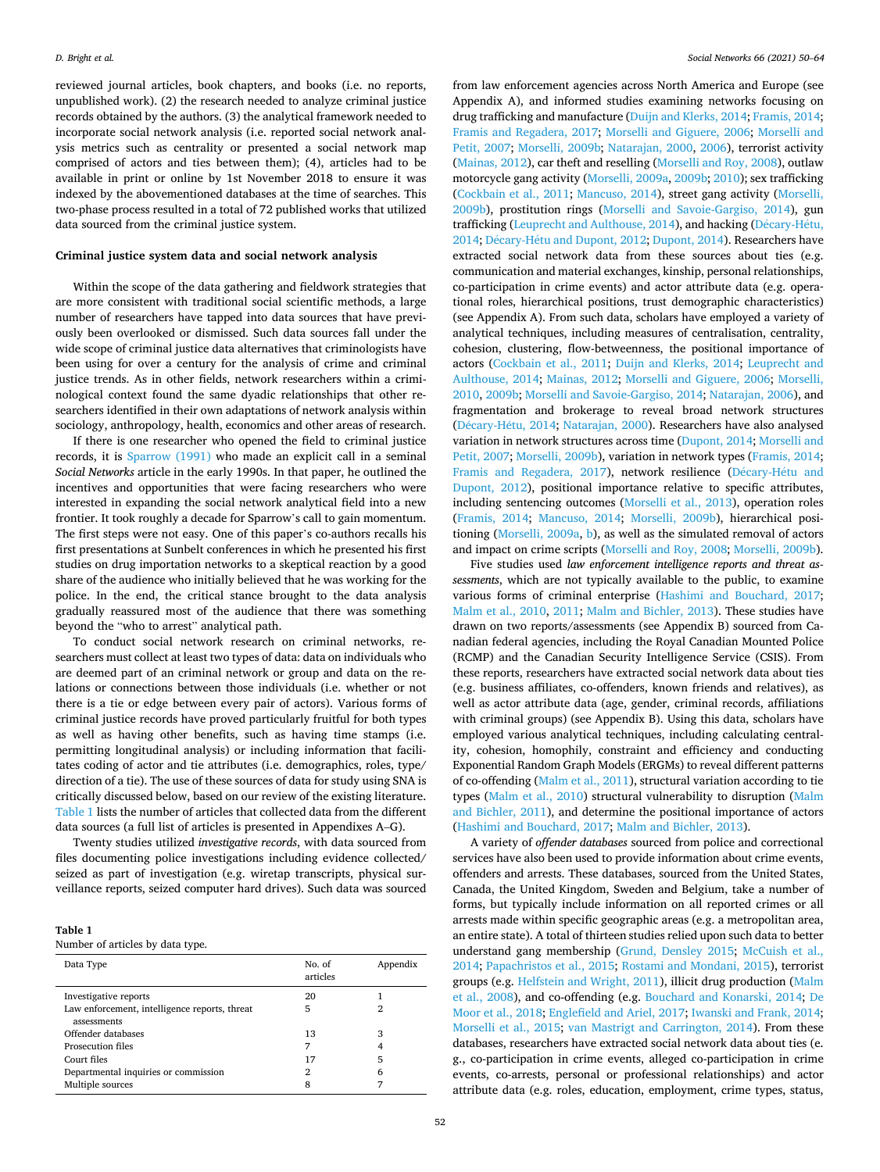reviewed journal articles, book chapters, and books (i.e. no reports, unpublished work). (2) the research needed to analyze criminal justice records obtained by the authors. (3) the analytical framework needed to incorporate social network analysis (i.e. reported social network analysis metrics such as centrality or presented a social network map comprised of actors and ties between them); (4), articles had to be available in print or online by 1st November 2018 to ensure it was indexed by the abovementioned databases at the time of searches. This two-phase process resulted in a total of 72 published works that utilized data sourced from the criminal justice system.

#### **Criminal justice system data and social network analysis**

Within the scope of the data gathering and fieldwork strategies that are more consistent with traditional social scientific methods, a large number of researchers have tapped into data sources that have previously been overlooked or dismissed. Such data sources fall under the wide scope of criminal justice data alternatives that criminologists have been using for over a century for the analysis of crime and criminal justice trends. As in other fields, network researchers within a criminological context found the same dyadic relationships that other researchers identified in their own adaptations of network analysis within sociology, anthropology, health, economics and other areas of research.

If there is one researcher who opened the field to criminal justice records, it is [Sparrow \(1991\)](#page-14-0) who made an explicit call in a seminal *Social Networks* article in the early 1990s. In that paper, he outlined the incentives and opportunities that were facing researchers who were interested in expanding the social network analytical field into a new frontier. It took roughly a decade for Sparrow's call to gain momentum. The first steps were not easy. One of this paper's co-authors recalls his first presentations at Sunbelt conferences in which he presented his first studies on drug importation networks to a skeptical reaction by a good share of the audience who initially believed that he was working for the police. In the end, the critical stance brought to the data analysis gradually reassured most of the audience that there was something beyond the "who to arrest" analytical path.

To conduct social network research on criminal networks, researchers must collect at least two types of data: data on individuals who are deemed part of an criminal network or group and data on the relations or connections between those individuals (i.e. whether or not there is a tie or edge between every pair of actors). Various forms of criminal justice records have proved particularly fruitful for both types as well as having other benefits, such as having time stamps (i.e. permitting longitudinal analysis) or including information that facilitates coding of actor and tie attributes (i.e. demographics, roles, type/ direction of a tie). The use of these sources of data for study using SNA is critically discussed below, based on our review of the existing literature. Table 1 lists the number of articles that collected data from the different data sources (a full list of articles is presented in Appendixes A–G).

Twenty studies utilized *investigative records*, with data sourced from files documenting police investigations including evidence collected/ seized as part of investigation (e.g. wiretap transcripts, physical surveillance reports, seized computer hard drives). Such data was sourced

#### **Table 1**

Number of articles by data type.

| Data Type                                                    | No. of<br>articles | Appendix |
|--------------------------------------------------------------|--------------------|----------|
| Investigative reports                                        | 20                 |          |
| Law enforcement, intelligence reports, threat<br>assessments | 5                  | 2        |
| Offender databases                                           | 13                 | 3        |
| Prosecution files                                            | 7                  |          |
| Court files                                                  | 17                 | 5        |
| Departmental inquiries or commission                         | $\overline{2}$     | 6        |
| Multiple sources                                             | 8                  |          |

from law enforcement agencies across North America and Europe (see Appendix A), and informed studies examining networks focusing on drug trafficking and manufacture ([Duijn and Klerks, 2014; Framis, 2014](#page-14-0); [Framis and Regadera, 2017](#page-14-0); [Morselli and Giguere, 2006](#page-14-0); [Morselli and](#page-14-0)  [Petit, 2007;](#page-14-0) [Morselli, 2009b;](#page-14-0) [Natarajan, 2000](#page-14-0), [2006](#page-14-0)), terrorist activity ([Mainas, 2012\)](#page-14-0), car theft and reselling ([Morselli and Roy, 2008](#page-14-0)), outlaw motorcycle gang activity ([Morselli, 2009a, 2009b; 2010](#page-14-0)); sex trafficking ([Cockbain et al., 2011;](#page-13-0) [Mancuso, 2014\)](#page-14-0), street gang activity ([Morselli,](#page-14-0)  [2009b\)](#page-14-0), prostitution rings [\(Morselli and Savoie-Gargiso, 2014](#page-14-0)), gun trafficking ([Leuprecht and Aulthouse, 2014](#page-14-0)), and hacking (Décary-Hétu, [2014;](#page-13-0) Décary-Hétu and Dupont, 2012; Dupont, 2014). Researchers have extracted social network data from these sources about ties (e.g. communication and material exchanges, kinship, personal relationships, co-participation in crime events) and actor attribute data (e.g. operational roles, hierarchical positions, trust demographic characteristics) (see Appendix A). From such data, scholars have employed a variety of analytical techniques, including measures of centralisation, centrality, cohesion, clustering, flow-betweenness, the positional importance of actors ([Cockbain et al., 2011;](#page-13-0) [Duijn and Klerks, 2014;](#page-14-0) [Leuprecht and](#page-14-0)  [Aulthouse, 2014](#page-14-0); [Mainas, 2012;](#page-14-0) [Morselli and Giguere, 2006;](#page-14-0) [Morselli,](#page-14-0)  [2010, 2009b](#page-14-0); [Morselli and Savoie-Gargiso, 2014](#page-14-0); [Natarajan, 2006](#page-14-0)), and fragmentation and brokerage to reveal broad network structures (Décary-Hétu, 2014; [Natarajan, 2000\)](#page-14-0). Researchers have also analysed variation in network structures across time [\(Dupont, 2014; Morselli and](#page-14-0)  [Petit, 2007](#page-14-0); [Morselli, 2009b\)](#page-14-0), variation in network types [\(Framis, 2014](#page-14-0); [Framis and Regadera, 2017\)](#page-14-0), network resilience (Décary-Hétu and [Dupont, 2012\)](#page-14-0), positional importance relative to specific attributes, including sentencing outcomes ([Morselli et al., 2013\)](#page-14-0), operation roles ([Framis, 2014;](#page-14-0) [Mancuso, 2014](#page-14-0); [Morselli, 2009b\)](#page-14-0), hierarchical positioning [\(Morselli, 2009a](#page-14-0), [b](#page-14-0)), as well as the simulated removal of actors and impact on crime scripts ([Morselli and Roy, 2008](#page-14-0); [Morselli, 2009b](#page-14-0)).

Five studies used *law enforcement intelligence reports and threat assessments*, which are not typically available to the public, to examine various forms of criminal enterprise [\(Hashimi and Bouchard, 2017](#page-14-0); [Malm et al., 2010,](#page-14-0) [2011; Malm and Bichler, 2013](#page-14-0)). These studies have drawn on two reports/assessments (see Appendix B) sourced from Canadian federal agencies, including the Royal Canadian Mounted Police (RCMP) and the Canadian Security Intelligence Service (CSIS). From these reports, researchers have extracted social network data about ties (e.g. business affiliates, co-offenders, known friends and relatives), as well as actor attribute data (age, gender, criminal records, affiliations with criminal groups) (see Appendix B). Using this data, scholars have employed various analytical techniques, including calculating centrality, cohesion, homophily, constraint and efficiency and conducting Exponential Random Graph Models (ERGMs) to reveal different patterns of co-offending ([Malm et al., 2011](#page-14-0)), structural variation according to tie types ([Malm et al., 2010\)](#page-14-0) structural vulnerability to disruption ([Malm](#page-14-0)  [and Bichler, 2011](#page-14-0)), and determine the positional importance of actors ([Hashimi and Bouchard, 2017;](#page-14-0) [Malm and Bichler, 2013](#page-14-0)).

A variety of *offender databases* sourced from police and correctional services have also been used to provide information about crime events, offenders and arrests. These databases, sourced from the United States, Canada, the United Kingdom, Sweden and Belgium, take a number of forms, but typically include information on all reported crimes or all arrests made within specific geographic areas (e.g. a metropolitan area, an entire state). A total of thirteen studies relied upon such data to better understand gang membership [\(Grund, Densley 2015](#page-14-0); [McCuish et al.,](#page-14-0)  [2014; Papachristos et al., 2015](#page-14-0); [Rostami and Mondani, 2015](#page-14-0)), terrorist groups (e.g. [Helfstein and Wright, 2011\)](#page-14-0), illicit drug production ([Malm](#page-14-0)  [et al., 2008\)](#page-14-0), and co-offending (e.g. [Bouchard and Konarski, 2014](#page-13-0); [De](#page-13-0)  [Moor et al., 2018](#page-13-0); [Englefield and Ariel, 2017; Iwanski and Frank, 2014](#page-14-0); [Morselli et al., 2015;](#page-14-0) [van Mastrigt and Carrington, 2014\)](#page-14-0). From these databases, researchers have extracted social network data about ties (e. g., co-participation in crime events, alleged co-participation in crime events, co-arrests, personal or professional relationships) and actor attribute data (e.g. roles, education, employment, crime types, status,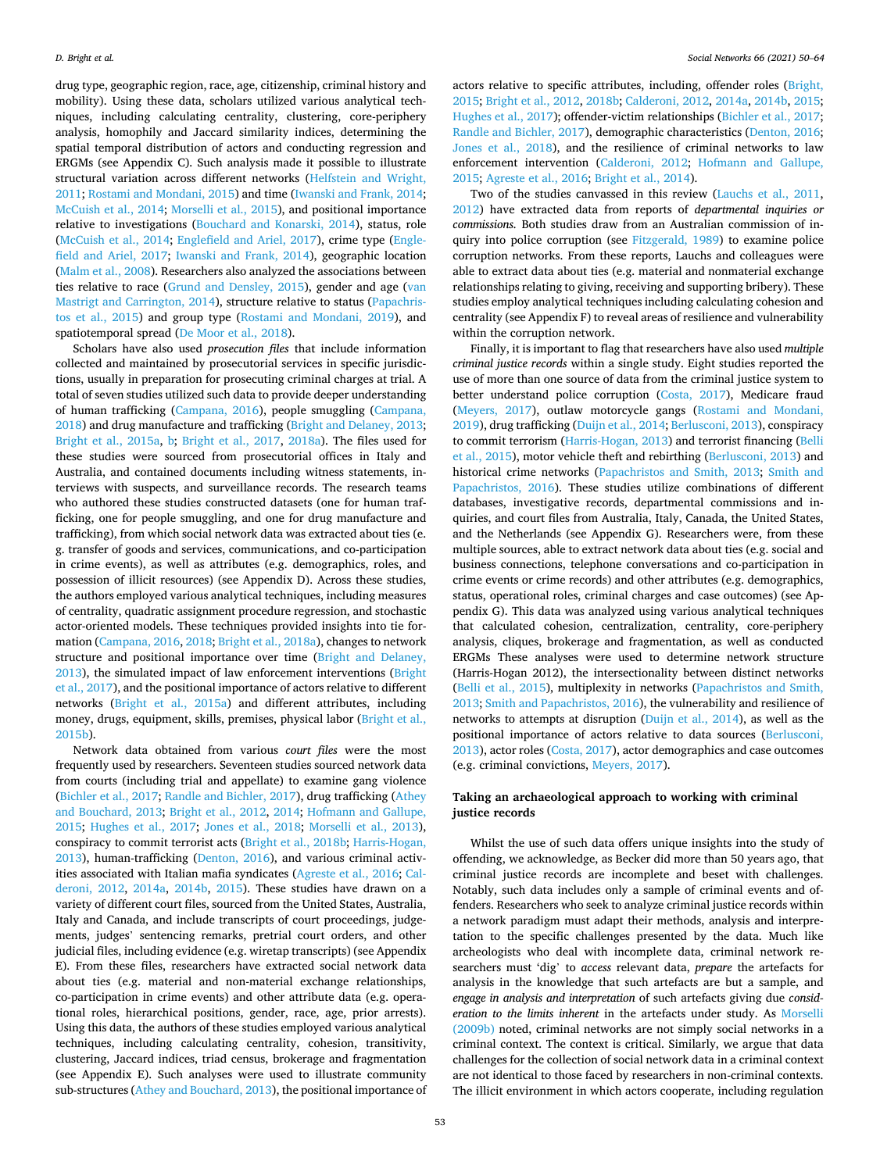drug type, geographic region, race, age, citizenship, criminal history and mobility). Using these data, scholars utilized various analytical techniques, including calculating centrality, clustering, core-periphery analysis, homophily and Jaccard similarity indices, determining the spatial temporal distribution of actors and conducting regression and ERGMs (see Appendix C). Such analysis made it possible to illustrate structural variation across different networks ([Helfstein and Wright,](#page-14-0)  [2011; Rostami and Mondani, 2015\)](#page-14-0) and time ([Iwanski and Frank, 2014](#page-14-0); [McCuish et al., 2014](#page-14-0); [Morselli et al., 2015\)](#page-14-0), and positional importance relative to investigations ([Bouchard and Konarski, 2014\)](#page-13-0), status, role ([McCuish et al., 2014](#page-14-0); [Englefield and Ariel, 2017](#page-14-0)), crime type ([Engle](#page-14-0)[field and Ariel, 2017;](#page-14-0) [Iwanski and Frank, 2014\)](#page-14-0), geographic location ([Malm et al., 2008](#page-14-0)). Researchers also analyzed the associations between ties relative to race ([Grund and Densley, 2015\)](#page-14-0), gender and age ([van](#page-14-0)  [Mastrigt and Carrington, 2014\)](#page-14-0), structure relative to status ([Papachris](#page-14-0)[tos et al., 2015\)](#page-14-0) and group type [\(Rostami and Mondani, 2019\)](#page-14-0), and spatiotemporal spread [\(De Moor et al., 2018\)](#page-13-0).

Scholars have also used *prosecution files* that include information collected and maintained by prosecutorial services in specific jurisdictions, usually in preparation for prosecuting criminal charges at trial. A total of seven studies utilized such data to provide deeper understanding of human trafficking ([Campana, 2016](#page-13-0)), people smuggling ([Campana,](#page-13-0)  [2018\)](#page-13-0) and drug manufacture and trafficking ([Bright and Delaney, 2013](#page-13-0); [Bright et al., 2015a](#page-13-0), [b;](#page-13-0) [Bright et al., 2017,](#page-13-0) [2018a](#page-13-0)). The files used for these studies were sourced from prosecutorial offices in Italy and Australia, and contained documents including witness statements, interviews with suspects, and surveillance records. The research teams who authored these studies constructed datasets (one for human trafficking, one for people smuggling, and one for drug manufacture and trafficking), from which social network data was extracted about ties (e. g. transfer of goods and services, communications, and co-participation in crime events), as well as attributes (e.g. demographics, roles, and possession of illicit resources) (see Appendix D). Across these studies, the authors employed various analytical techniques, including measures of centrality, quadratic assignment procedure regression, and stochastic actor-oriented models. These techniques provided insights into tie formation [\(Campana, 2016, 2018; Bright et al., 2018a](#page-13-0)), changes to network structure and positional importance over time [\(Bright and Delaney,](#page-13-0)  [2013\)](#page-13-0), the simulated impact of law enforcement interventions ([Bright](#page-13-0)  [et al., 2017\)](#page-13-0), and the positional importance of actors relative to different networks ([Bright et al., 2015a\)](#page-13-0) and different attributes, including money, drugs, equipment, skills, premises, physical labor ([Bright et al.,](#page-13-0)  [2015b\)](#page-13-0).

Network data obtained from various *court files* were the most frequently used by researchers. Seventeen studies sourced network data from courts (including trial and appellate) to examine gang violence ([Bichler et al., 2017](#page-13-0); [Randle and Bichler, 2017](#page-14-0)), drug trafficking ([Athey](#page-13-0)  [and Bouchard, 2013;](#page-13-0) [Bright et al., 2012](#page-13-0), [2014](#page-13-0); [Hofmann and Gallupe,](#page-14-0)  [2015;](#page-14-0) [Hughes et al., 2017;](#page-14-0) [Jones et al., 2018;](#page-14-0) [Morselli et al., 2013](#page-14-0)), conspiracy to commit terrorist acts ([Bright et al., 2018b;](#page-13-0) [Harris-Hogan,](#page-14-0)  [2013\)](#page-14-0), human-trafficking ([Denton, 2016\)](#page-14-0), and various criminal activities associated with Italian mafia syndicates ([Agreste et al., 2016](#page-13-0); [Cal](#page-13-0)[deroni, 2012](#page-13-0), [2014a](#page-13-0), [2014b,](#page-13-0) [2015](#page-13-0)). These studies have drawn on a variety of different court files, sourced from the United States, Australia, Italy and Canada, and include transcripts of court proceedings, judgements, judges' sentencing remarks, pretrial court orders, and other judicial files, including evidence (e.g. wiretap transcripts) (see Appendix E). From these files, researchers have extracted social network data about ties (e.g. material and non-material exchange relationships, co-participation in crime events) and other attribute data (e.g. operational roles, hierarchical positions, gender, race, age, prior arrests). Using this data, the authors of these studies employed various analytical techniques, including calculating centrality, cohesion, transitivity, clustering, Jaccard indices, triad census, brokerage and fragmentation (see Appendix E). Such analyses were used to illustrate community sub-structures ([Athey and Bouchard, 2013](#page-13-0)), the positional importance of actors relative to specific attributes, including, offender roles ([Bright,](#page-13-0)  [2015; Bright et al., 2012](#page-13-0), [2018b](#page-13-0); [Calderoni, 2012](#page-13-0), [2014a](#page-13-0), [2014b](#page-13-0), [2015](#page-13-0); [Hughes et al., 2017\)](#page-14-0); offender-victim relationships ([Bichler et al., 2017](#page-13-0); [Randle and Bichler, 2017\)](#page-14-0), demographic characteristics ([Denton, 2016](#page-14-0); [Jones et al., 2018](#page-14-0)), and the resilience of criminal networks to law enforcement intervention ([Calderoni, 2012;](#page-13-0) [Hofmann and Gallupe,](#page-14-0)  [2015;](#page-14-0) [Agreste et al., 2016](#page-13-0); [Bright et al., 2014](#page-13-0)).

Two of the studies canvassed in this review ([Lauchs et al., 2011](#page-14-0), [2012\)](#page-14-0) have extracted data from reports of *departmental inquiries or commissions.* Both studies draw from an Australian commission of inquiry into police corruption (see [Fitzgerald, 1989\)](#page-14-0) to examine police corruption networks. From these reports, Lauchs and colleagues were able to extract data about ties (e.g. material and nonmaterial exchange relationships relating to giving, receiving and supporting bribery). These studies employ analytical techniques including calculating cohesion and centrality (see Appendix F) to reveal areas of resilience and vulnerability within the corruption network.

Finally, it is important to flag that researchers have also used *multiple criminal justice records* within a single study. Eight studies reported the use of more than one source of data from the criminal justice system to better understand police corruption [\(Costa, 2017\)](#page-13-0), Medicare fraud ([Meyers, 2017](#page-14-0)), outlaw motorcycle gangs [\(Rostami and Mondani,](#page-14-0)  [2019\)](#page-14-0), drug trafficking ([Duijn et al., 2014](#page-14-0); [Berlusconi, 2013](#page-13-0)), conspiracy to commit terrorism ([Harris-Hogan, 2013](#page-14-0)) and terrorist financing ([Belli](#page-13-0)  [et al., 2015\)](#page-13-0), motor vehicle theft and rebirthing ([Berlusconi, 2013](#page-13-0)) and historical crime networks [\(Papachristos and Smith, 2013;](#page-14-0) [Smith and](#page-14-0)  [Papachristos, 2016](#page-14-0)). These studies utilize combinations of different databases, investigative records, departmental commissions and inquiries, and court files from Australia, Italy, Canada, the United States, and the Netherlands (see Appendix G). Researchers were, from these multiple sources, able to extract network data about ties (e.g. social and business connections, telephone conversations and co-participation in crime events or crime records) and other attributes (e.g. demographics, status, operational roles, criminal charges and case outcomes) (see Appendix G). This data was analyzed using various analytical techniques that calculated cohesion, centralization, centrality, core-periphery analysis, cliques, brokerage and fragmentation, as well as conducted ERGMs These analyses were used to determine network structure (Harris-Hogan 2012), the intersectionality between distinct networks ([Belli et al., 2015\)](#page-13-0), multiplexity in networks ([Papachristos and Smith,](#page-14-0)  [2013; Smith and Papachristos, 2016\)](#page-14-0), the vulnerability and resilience of networks to attempts at disruption ([Duijn et al., 2014](#page-14-0)), as well as the positional importance of actors relative to data sources ([Berlusconi,](#page-13-0)  [2013\)](#page-13-0), actor roles [\(Costa, 2017\)](#page-13-0), actor demographics and case outcomes (e.g. criminal convictions, [Meyers, 2017\)](#page-14-0).

#### **Taking an archaeological approach to working with criminal justice records**

Whilst the use of such data offers unique insights into the study of offending, we acknowledge, as Becker did more than 50 years ago, that criminal justice records are incomplete and beset with challenges. Notably, such data includes only a sample of criminal events and offenders. Researchers who seek to analyze criminal justice records within a network paradigm must adapt their methods, analysis and interpretation to the specific challenges presented by the data. Much like archeologists who deal with incomplete data, criminal network researchers must 'dig' to *access* relevant data, *prepare* the artefacts for analysis in the knowledge that such artefacts are but a sample, and *engage in analysis and interpretation* of such artefacts giving due *consideration to the limits inherent* in the artefacts under study. As [Morselli](#page-14-0)  [\(2009b\)](#page-14-0) noted, criminal networks are not simply social networks in a criminal context. The context is critical. Similarly, we argue that data challenges for the collection of social network data in a criminal context are not identical to those faced by researchers in non-criminal contexts. The illicit environment in which actors cooperate, including regulation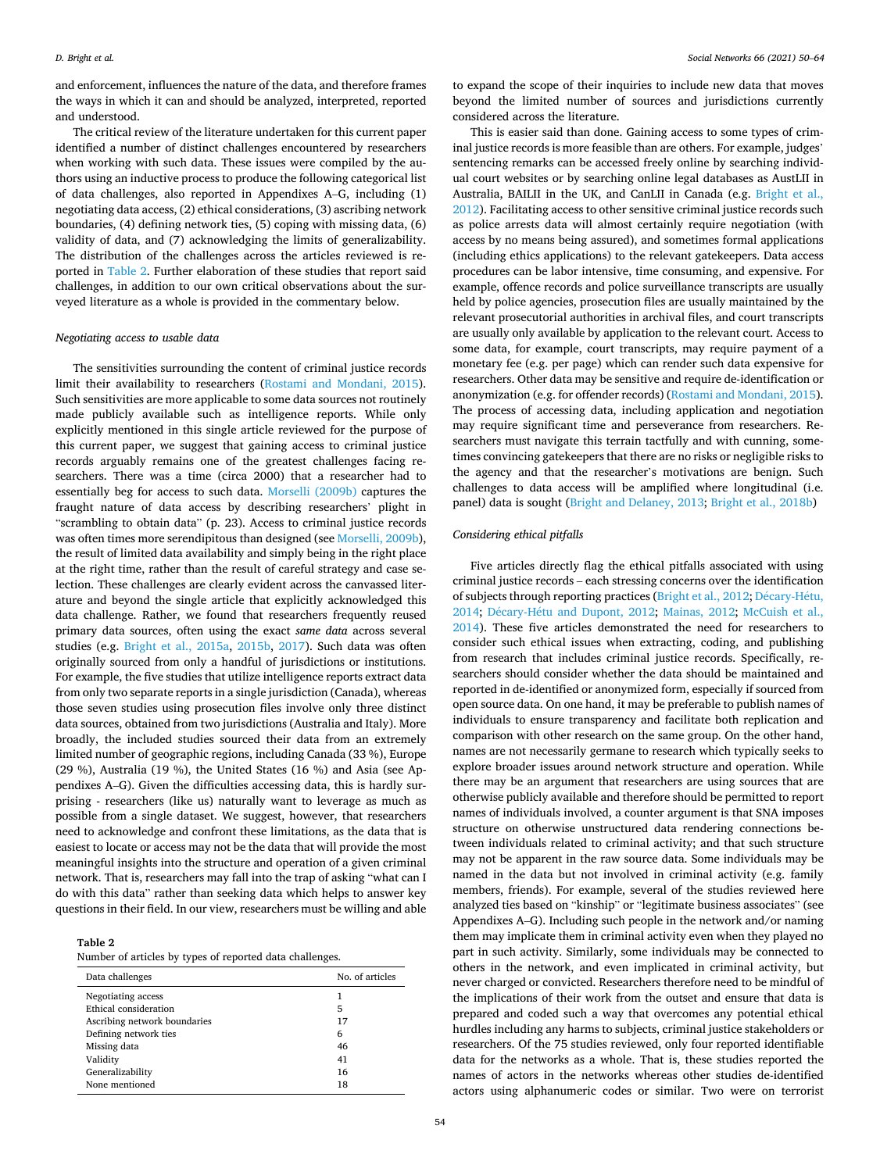and enforcement, influences the nature of the data, and therefore frames the ways in which it can and should be analyzed, interpreted, reported and understood.

The critical review of the literature undertaken for this current paper identified a number of distinct challenges encountered by researchers when working with such data. These issues were compiled by the authors using an inductive process to produce the following categorical list of data challenges, also reported in Appendixes A–G, including (1) negotiating data access, (2) ethical considerations, (3) ascribing network boundaries, (4) defining network ties, (5) coping with missing data, (6) validity of data, and (7) acknowledging the limits of generalizability. The distribution of the challenges across the articles reviewed is reported in Table 2. Further elaboration of these studies that report said challenges, in addition to our own critical observations about the surveyed literature as a whole is provided in the commentary below.

#### *Negotiating access to usable data*

The sensitivities surrounding the content of criminal justice records limit their availability to researchers [\(Rostami and Mondani, 2015](#page-14-0)). Such sensitivities are more applicable to some data sources not routinely made publicly available such as intelligence reports. While only explicitly mentioned in this single article reviewed for the purpose of this current paper, we suggest that gaining access to criminal justice records arguably remains one of the greatest challenges facing researchers. There was a time (circa 2000) that a researcher had to essentially beg for access to such data. [Morselli \(2009b\)](#page-14-0) captures the fraught nature of data access by describing researchers' plight in "scrambling to obtain data" (p. 23). Access to criminal justice records was often times more serendipitous than designed (see [Morselli, 2009b](#page-14-0)), the result of limited data availability and simply being in the right place at the right time, rather than the result of careful strategy and case selection. These challenges are clearly evident across the canvassed literature and beyond the single article that explicitly acknowledged this data challenge. Rather, we found that researchers frequently reused primary data sources, often using the exact *same data* across several studies (e.g. [Bright et al., 2015a](#page-13-0), [2015b](#page-13-0), [2017\)](#page-13-0). Such data was often originally sourced from only a handful of jurisdictions or institutions. For example, the five studies that utilize intelligence reports extract data from only two separate reports in a single jurisdiction (Canada), whereas those seven studies using prosecution files involve only three distinct data sources, obtained from two jurisdictions (Australia and Italy). More broadly, the included studies sourced their data from an extremely limited number of geographic regions, including Canada (33 %), Europe (29 %), Australia (19 %), the United States (16 %) and Asia (see Appendixes A–G). Given the difficulties accessing data, this is hardly surprising - researchers (like us) naturally want to leverage as much as possible from a single dataset. We suggest, however, that researchers need to acknowledge and confront these limitations, as the data that is easiest to locate or access may not be the data that will provide the most meaningful insights into the structure and operation of a given criminal network. That is, researchers may fall into the trap of asking "what can I do with this data" rather than seeking data which helps to answer key questions in their field. In our view, researchers must be willing and able

**Table 2** 

Number of articles by types of reported data challenges.

| Data challenges              | No. of articles |
|------------------------------|-----------------|
| Negotiating access           |                 |
| Ethical consideration        | 5               |
| Ascribing network boundaries | 17              |
| Defining network ties        | 6               |
| Missing data                 | 46              |
| Validity                     | 41              |
| Generalizability             | 16              |
| None mentioned               | 18              |

to expand the scope of their inquiries to include new data that moves beyond the limited number of sources and jurisdictions currently considered across the literature.

This is easier said than done. Gaining access to some types of criminal justice records is more feasible than are others. For example, judges' sentencing remarks can be accessed freely online by searching individual court websites or by searching online legal databases as AustLII in Australia, BAILII in the UK, and CanLII in Canada (e.g. [Bright et al.,](#page-13-0)  [2012\)](#page-13-0). Facilitating access to other sensitive criminal justice records such as police arrests data will almost certainly require negotiation (with access by no means being assured), and sometimes formal applications (including ethics applications) to the relevant gatekeepers. Data access procedures can be labor intensive, time consuming, and expensive. For example, offence records and police surveillance transcripts are usually held by police agencies, prosecution files are usually maintained by the relevant prosecutorial authorities in archival files, and court transcripts are usually only available by application to the relevant court. Access to some data, for example, court transcripts, may require payment of a monetary fee (e.g. per page) which can render such data expensive for researchers. Other data may be sensitive and require de-identification or anonymization (e.g. for offender records) [\(Rostami and Mondani, 2015](#page-14-0)). The process of accessing data, including application and negotiation may require significant time and perseverance from researchers. Researchers must navigate this terrain tactfully and with cunning, sometimes convincing gatekeepers that there are no risks or negligible risks to the agency and that the researcher's motivations are benign. Such challenges to data access will be amplified where longitudinal (i.e. panel) data is sought ([Bright and Delaney, 2013; Bright et al., 2018b](#page-13-0))

#### *Considering ethical pitfalls*

Five articles directly flag the ethical pitfalls associated with using criminal justice records – each stressing concerns over the identification of subjects through reporting practices ([Bright et al., 2012](#page-13-0); Décary-Hétu, [2014;](#page-13-0) Décary-Hétu and Dupont, 2012; [Mainas, 2012;](#page-14-0) McCuish et al., [2014\)](#page-14-0). These five articles demonstrated the need for researchers to consider such ethical issues when extracting, coding, and publishing from research that includes criminal justice records. Specifically, researchers should consider whether the data should be maintained and reported in de-identified or anonymized form, especially if sourced from open source data. On one hand, it may be preferable to publish names of individuals to ensure transparency and facilitate both replication and comparison with other research on the same group. On the other hand, names are not necessarily germane to research which typically seeks to explore broader issues around network structure and operation. While there may be an argument that researchers are using sources that are otherwise publicly available and therefore should be permitted to report names of individuals involved, a counter argument is that SNA imposes structure on otherwise unstructured data rendering connections between individuals related to criminal activity; and that such structure may not be apparent in the raw source data. Some individuals may be named in the data but not involved in criminal activity (e.g. family members, friends). For example, several of the studies reviewed here analyzed ties based on "kinship" or "legitimate business associates" (see Appendixes A–G). Including such people in the network and/or naming them may implicate them in criminal activity even when they played no part in such activity. Similarly, some individuals may be connected to others in the network, and even implicated in criminal activity, but never charged or convicted. Researchers therefore need to be mindful of the implications of their work from the outset and ensure that data is prepared and coded such a way that overcomes any potential ethical hurdles including any harms to subjects, criminal justice stakeholders or researchers. Of the 75 studies reviewed, only four reported identifiable data for the networks as a whole. That is, these studies reported the names of actors in the networks whereas other studies de-identified actors using alphanumeric codes or similar. Two were on terrorist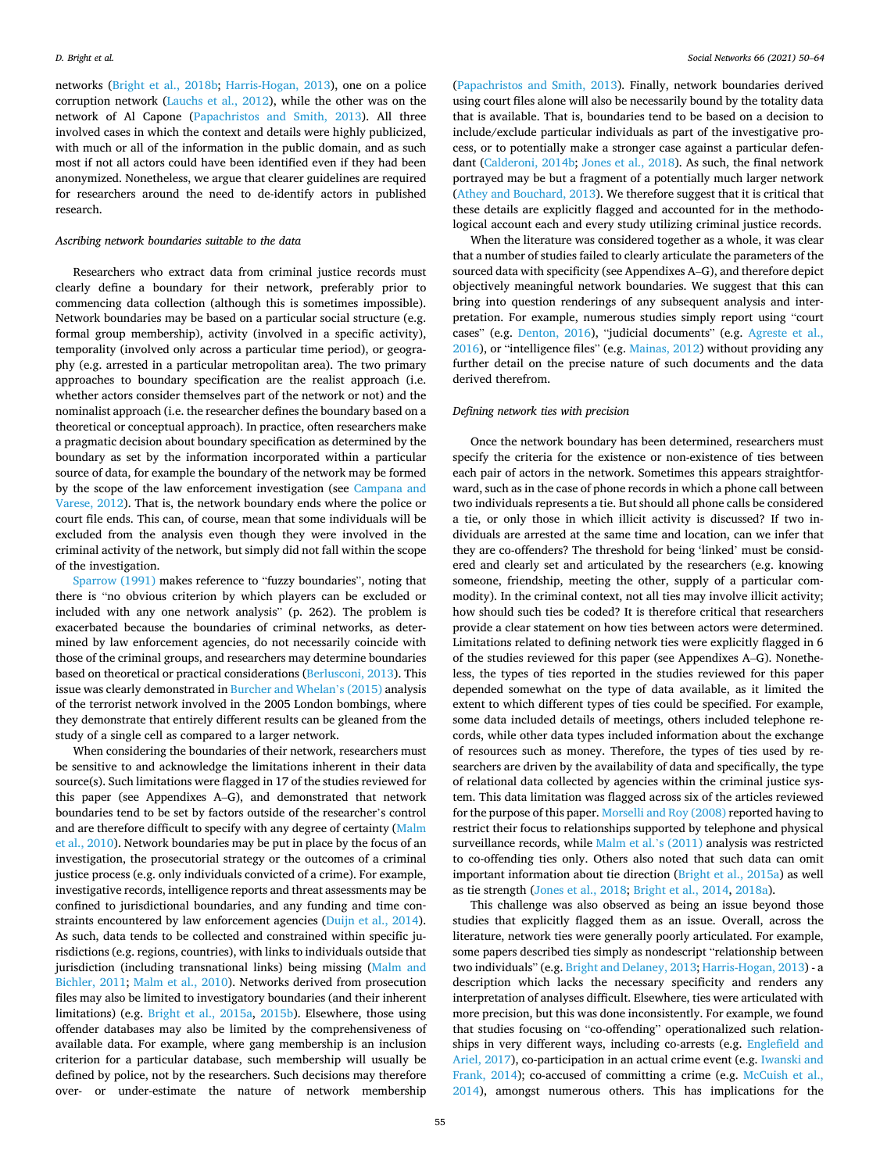networks [\(Bright et al., 2018b](#page-13-0); [Harris-Hogan, 2013\)](#page-14-0), one on a police corruption network [\(Lauchs et al., 2012](#page-14-0)), while the other was on the network of Al Capone [\(Papachristos and Smith, 2013\)](#page-14-0). All three involved cases in which the context and details were highly publicized, with much or all of the information in the public domain, and as such most if not all actors could have been identified even if they had been anonymized. Nonetheless, we argue that clearer guidelines are required for researchers around the need to de-identify actors in published research.

#### *Ascribing network boundaries suitable to the data*

Researchers who extract data from criminal justice records must clearly define a boundary for their network, preferably prior to commencing data collection (although this is sometimes impossible). Network boundaries may be based on a particular social structure (e.g. formal group membership), activity (involved in a specific activity), temporality (involved only across a particular time period), or geography (e.g. arrested in a particular metropolitan area). The two primary approaches to boundary specification are the realist approach (i.e. whether actors consider themselves part of the network or not) and the nominalist approach (i.e. the researcher defines the boundary based on a theoretical or conceptual approach). In practice, often researchers make a pragmatic decision about boundary specification as determined by the boundary as set by the information incorporated within a particular source of data, for example the boundary of the network may be formed by the scope of the law enforcement investigation (see [Campana and](#page-13-0)  [Varese, 2012\)](#page-13-0). That is, the network boundary ends where the police or court file ends. This can, of course, mean that some individuals will be excluded from the analysis even though they were involved in the criminal activity of the network, but simply did not fall within the scope of the investigation.

[Sparrow \(1991\)](#page-14-0) makes reference to "fuzzy boundaries", noting that there is "no obvious criterion by which players can be excluded or included with any one network analysis" (p. 262). The problem is exacerbated because the boundaries of criminal networks, as determined by law enforcement agencies, do not necessarily coincide with those of the criminal groups, and researchers may determine boundaries based on theoretical or practical considerations ([Berlusconi, 2013\)](#page-13-0). This issue was clearly demonstrated in [Burcher and Whelan](#page-13-0)'s (2015) analysis of the terrorist network involved in the 2005 London bombings, where they demonstrate that entirely different results can be gleaned from the study of a single cell as compared to a larger network.

When considering the boundaries of their network, researchers must be sensitive to and acknowledge the limitations inherent in their data source(s). Such limitations were flagged in 17 of the studies reviewed for this paper (see Appendixes A–G), and demonstrated that network boundaries tend to be set by factors outside of the researcher's control and are therefore difficult to specify with any degree of certainty [\(Malm](#page-14-0)  [et al., 2010\)](#page-14-0). Network boundaries may be put in place by the focus of an investigation, the prosecutorial strategy or the outcomes of a criminal justice process (e.g. only individuals convicted of a crime). For example, investigative records, intelligence reports and threat assessments may be confined to jurisdictional boundaries, and any funding and time constraints encountered by law enforcement agencies ([Duijn et al., 2014](#page-14-0)). As such, data tends to be collected and constrained within specific jurisdictions (e.g. regions, countries), with links to individuals outside that jurisdiction (including transnational links) being missing (Malm and [Bichler, 2011](#page-14-0); [Malm et al., 2010](#page-14-0)). Networks derived from prosecution files may also be limited to investigatory boundaries (and their inherent limitations) (e.g. [Bright et al., 2015a,](#page-13-0) [2015b\)](#page-13-0). Elsewhere, those using offender databases may also be limited by the comprehensiveness of available data. For example, where gang membership is an inclusion criterion for a particular database, such membership will usually be defined by police, not by the researchers. Such decisions may therefore over- or under-estimate the nature of network membership

([Papachristos and Smith, 2013\)](#page-14-0). Finally, network boundaries derived using court files alone will also be necessarily bound by the totality data that is available. That is, boundaries tend to be based on a decision to include/exclude particular individuals as part of the investigative process, or to potentially make a stronger case against a particular defendant ([Calderoni, 2014b](#page-13-0); [Jones et al., 2018\)](#page-14-0). As such, the final network portrayed may be but a fragment of a potentially much larger network ([Athey and Bouchard, 2013](#page-13-0)). We therefore suggest that it is critical that these details are explicitly flagged and accounted for in the methodological account each and every study utilizing criminal justice records.

When the literature was considered together as a whole, it was clear that a number of studies failed to clearly articulate the parameters of the sourced data with specificity (see Appendixes A–G), and therefore depict objectively meaningful network boundaries. We suggest that this can bring into question renderings of any subsequent analysis and interpretation. For example, numerous studies simply report using "court cases" (e.g. [Denton, 2016](#page-14-0)), "judicial documents" (e.g. [Agreste et al.,](#page-13-0)  [2016\)](#page-13-0), or "intelligence files" (e.g. [Mainas, 2012\)](#page-14-0) without providing any further detail on the precise nature of such documents and the data derived therefrom.

#### *Defining network ties with precision*

Once the network boundary has been determined, researchers must specify the criteria for the existence or non-existence of ties between each pair of actors in the network. Sometimes this appears straightforward, such as in the case of phone records in which a phone call between two individuals represents a tie. But should all phone calls be considered a tie, or only those in which illicit activity is discussed? If two individuals are arrested at the same time and location, can we infer that they are co-offenders? The threshold for being 'linked' must be considered and clearly set and articulated by the researchers (e.g. knowing someone, friendship, meeting the other, supply of a particular commodity). In the criminal context, not all ties may involve illicit activity; how should such ties be coded? It is therefore critical that researchers provide a clear statement on how ties between actors were determined. Limitations related to defining network ties were explicitly flagged in 6 of the studies reviewed for this paper (see Appendixes A–G). Nonetheless, the types of ties reported in the studies reviewed for this paper depended somewhat on the type of data available, as it limited the extent to which different types of ties could be specified. For example, some data included details of meetings, others included telephone records, while other data types included information about the exchange of resources such as money. Therefore, the types of ties used by researchers are driven by the availability of data and specifically, the type of relational data collected by agencies within the criminal justice system. This data limitation was flagged across six of the articles reviewed for the purpose of this paper. [Morselli and Roy \(2008\)](#page-14-0) reported having to restrict their focus to relationships supported by telephone and physical surveillance records, while [Malm et al.](#page-14-0)'s (2011) analysis was restricted to co-offending ties only. Others also noted that such data can omit important information about tie direction [\(Bright et al., 2015a\)](#page-13-0) as well as tie strength ([Jones et al., 2018](#page-14-0); [Bright et al., 2014](#page-13-0), [2018a](#page-13-0)).

This challenge was also observed as being an issue beyond those studies that explicitly flagged them as an issue. Overall, across the literature, network ties were generally poorly articulated. For example, some papers described ties simply as nondescript "relationship between two individuals" (e.g. [Bright and Delaney, 2013;](#page-13-0) [Harris-Hogan, 2013\)](#page-14-0) - a description which lacks the necessary specificity and renders any interpretation of analyses difficult. Elsewhere, ties were articulated with more precision, but this was done inconsistently. For example, we found that studies focusing on "co-offending" operationalized such relationships in very different ways, including co-arrests (e.g. [Englefield and](#page-14-0)  [Ariel, 2017](#page-14-0)), co-participation in an actual crime event (e.g. [Iwanski and](#page-14-0)  [Frank, 2014](#page-14-0)); co-accused of committing a crime (e.g. [McCuish et al.,](#page-14-0)  [2014\)](#page-14-0), amongst numerous others. This has implications for the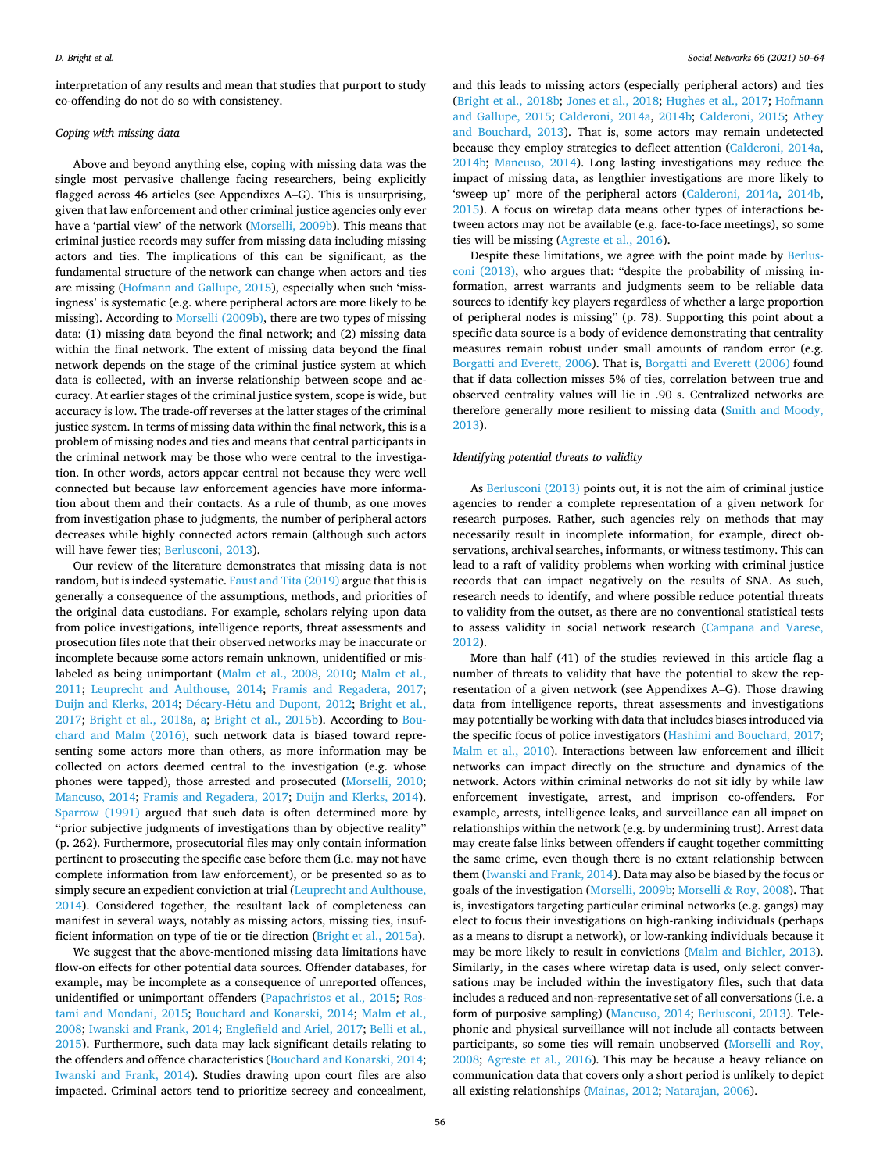interpretation of any results and mean that studies that purport to study co-offending do not do so with consistency.

#### *Coping with missing data*

Above and beyond anything else, coping with missing data was the single most pervasive challenge facing researchers, being explicitly flagged across 46 articles (see Appendixes A–G). This is unsurprising, given that law enforcement and other criminal justice agencies only ever have a 'partial view' of the network [\(Morselli, 2009b](#page-14-0)). This means that criminal justice records may suffer from missing data including missing actors and ties. The implications of this can be significant, as the fundamental structure of the network can change when actors and ties are missing [\(Hofmann and Gallupe, 2015\)](#page-14-0), especially when such 'missingness' is systematic (e.g. where peripheral actors are more likely to be missing). According to [Morselli \(2009b\)](#page-14-0), there are two types of missing data: (1) missing data beyond the final network; and (2) missing data within the final network. The extent of missing data beyond the final network depends on the stage of the criminal justice system at which data is collected, with an inverse relationship between scope and accuracy. At earlier stages of the criminal justice system, scope is wide, but accuracy is low. The trade-off reverses at the latter stages of the criminal justice system. In terms of missing data within the final network, this is a problem of missing nodes and ties and means that central participants in the criminal network may be those who were central to the investigation. In other words, actors appear central not because they were well connected but because law enforcement agencies have more information about them and their contacts. As a rule of thumb, as one moves from investigation phase to judgments, the number of peripheral actors decreases while highly connected actors remain (although such actors will have fewer ties; [Berlusconi, 2013](#page-13-0)).

Our review of the literature demonstrates that missing data is not random, but is indeed systematic. [Faust and Tita \(2019\)](#page-14-0) argue that this is generally a consequence of the assumptions, methods, and priorities of the original data custodians. For example, scholars relying upon data from police investigations, intelligence reports, threat assessments and prosecution files note that their observed networks may be inaccurate or incomplete because some actors remain unknown, unidentified or mislabeled as being unimportant [\(Malm et al., 2008](#page-14-0), [2010;](#page-14-0) [Malm et al.,](#page-14-0)  [2011;](#page-14-0) [Leuprecht and Aulthouse, 2014;](#page-14-0) [Framis and Regadera, 2017](#page-14-0); [Duijn and Klerks, 2014;](#page-14-0) Décary-Hétu and Dupont, 2012; Bright et al., [2017;](#page-13-0) [Bright et al., 2018a,](#page-13-0) [a;](#page-13-0) [Bright et al., 2015b\)](#page-13-0). According to [Bou](#page-13-0)[chard and Malm \(2016\),](#page-13-0) such network data is biased toward representing some actors more than others, as more information may be collected on actors deemed central to the investigation (e.g. whose phones were tapped), those arrested and prosecuted [\(Morselli, 2010](#page-14-0); [Mancuso, 2014;](#page-14-0) [Framis and Regadera, 2017](#page-14-0); [Duijn and Klerks, 2014](#page-14-0)). [Sparrow \(1991\)](#page-14-0) argued that such data is often determined more by "prior subjective judgments of investigations than by objective reality" (p. 262). Furthermore, prosecutorial files may only contain information pertinent to prosecuting the specific case before them (i.e. may not have complete information from law enforcement), or be presented so as to simply secure an expedient conviction at trial [\(Leuprecht and Aulthouse,](#page-14-0)  [2014\)](#page-14-0). Considered together, the resultant lack of completeness can manifest in several ways, notably as missing actors, missing ties, insufficient information on type of tie or tie direction [\(Bright et al., 2015a\)](#page-13-0).

We suggest that the above-mentioned missing data limitations have flow-on effects for other potential data sources. Offender databases, for example, may be incomplete as a consequence of unreported offences, unidentified or unimportant offenders ([Papachristos et al., 2015](#page-14-0); [Ros](#page-14-0)[tami and Mondani, 2015](#page-14-0); [Bouchard and Konarski, 2014;](#page-13-0) [Malm et al.,](#page-14-0)  [2008; Iwanski and Frank, 2014](#page-14-0); [Englefield and Ariel, 2017;](#page-14-0) [Belli et al.,](#page-13-0)  [2015\)](#page-13-0). Furthermore, such data may lack significant details relating to the offenders and offence characteristics ([Bouchard and Konarski, 2014](#page-13-0); [Iwanski and Frank, 2014\)](#page-14-0). Studies drawing upon court files are also impacted. Criminal actors tend to prioritize secrecy and concealment,

and this leads to missing actors (especially peripheral actors) and ties ([Bright et al., 2018b;](#page-13-0) [Jones et al., 2018](#page-14-0); [Hughes et al., 2017](#page-14-0); [Hofmann](#page-14-0)  [and Gallupe, 2015](#page-14-0); [Calderoni, 2014a,](#page-13-0) [2014b](#page-13-0); [Calderoni, 2015](#page-13-0); [Athey](#page-13-0)  [and Bouchard, 2013\)](#page-13-0). That is, some actors may remain undetected because they employ strategies to deflect attention [\(Calderoni, 2014a](#page-13-0), [2014b;](#page-13-0) [Mancuso, 2014](#page-14-0)). Long lasting investigations may reduce the impact of missing data, as lengthier investigations are more likely to 'sweep up' more of the peripheral actors ([Calderoni, 2014a](#page-13-0), [2014b](#page-13-0), [2015\)](#page-13-0). A focus on wiretap data means other types of interactions between actors may not be available (e.g. face-to-face meetings), so some ties will be missing ([Agreste et al., 2016\)](#page-13-0).

Despite these limitations, we agree with the point made by [Berlus](#page-13-0)[coni \(2013\),](#page-13-0) who argues that: "despite the probability of missing information, arrest warrants and judgments seem to be reliable data sources to identify key players regardless of whether a large proportion of peripheral nodes is missing" (p. 78). Supporting this point about a specific data source is a body of evidence demonstrating that centrality measures remain robust under small amounts of random error (e.g. [Borgatti and Everett, 2006\)](#page-13-0). That is, [Borgatti and Everett \(2006\)](#page-13-0) found that if data collection misses 5% of ties, correlation between true and observed centrality values will lie in .90 s. Centralized networks are therefore generally more resilient to missing data [\(Smith and Moody,](#page-14-0)  [2013\)](#page-14-0).

#### *Identifying potential threats to validity*

As [Berlusconi \(2013\)](#page-13-0) points out, it is not the aim of criminal justice agencies to render a complete representation of a given network for research purposes. Rather, such agencies rely on methods that may necessarily result in incomplete information, for example, direct observations, archival searches, informants, or witness testimony. This can lead to a raft of validity problems when working with criminal justice records that can impact negatively on the results of SNA. As such, research needs to identify, and where possible reduce potential threats to validity from the outset, as there are no conventional statistical tests to assess validity in social network research ([Campana and Varese,](#page-13-0)  [2012\)](#page-13-0).

More than half (41) of the studies reviewed in this article flag a number of threats to validity that have the potential to skew the representation of a given network (see Appendixes A–G). Those drawing data from intelligence reports, threat assessments and investigations may potentially be working with data that includes biases introduced via the specific focus of police investigators [\(Hashimi and Bouchard, 2017](#page-14-0); [Malm et al., 2010](#page-14-0)). Interactions between law enforcement and illicit networks can impact directly on the structure and dynamics of the network. Actors within criminal networks do not sit idly by while law enforcement investigate, arrest, and imprison co-offenders. For example, arrests, intelligence leaks, and surveillance can all impact on relationships within the network (e.g. by undermining trust). Arrest data may create false links between offenders if caught together committing the same crime, even though there is no extant relationship between them [\(Iwanski and Frank, 2014](#page-14-0)). Data may also be biased by the focus or goals of the investigation ([Morselli, 2009b;](#page-14-0) Morselli & [Roy, 2008](#page-14-0)). That is, investigators targeting particular criminal networks (e.g. gangs) may elect to focus their investigations on high-ranking individuals (perhaps as a means to disrupt a network), or low-ranking individuals because it may be more likely to result in convictions [\(Malm and Bichler, 2013](#page-14-0)). Similarly, in the cases where wiretap data is used, only select conversations may be included within the investigatory files, such that data includes a reduced and non-representative set of all conversations (i.e. a form of purposive sampling) ([Mancuso, 2014;](#page-14-0) [Berlusconi, 2013](#page-13-0)). Telephonic and physical surveillance will not include all contacts between participants, so some ties will remain unobserved [\(Morselli and Roy,](#page-14-0)  [2008;](#page-14-0) [Agreste et al., 2016\)](#page-13-0). This may be because a heavy reliance on communication data that covers only a short period is unlikely to depict all existing relationships [\(Mainas, 2012;](#page-14-0) [Natarajan, 2006\)](#page-14-0).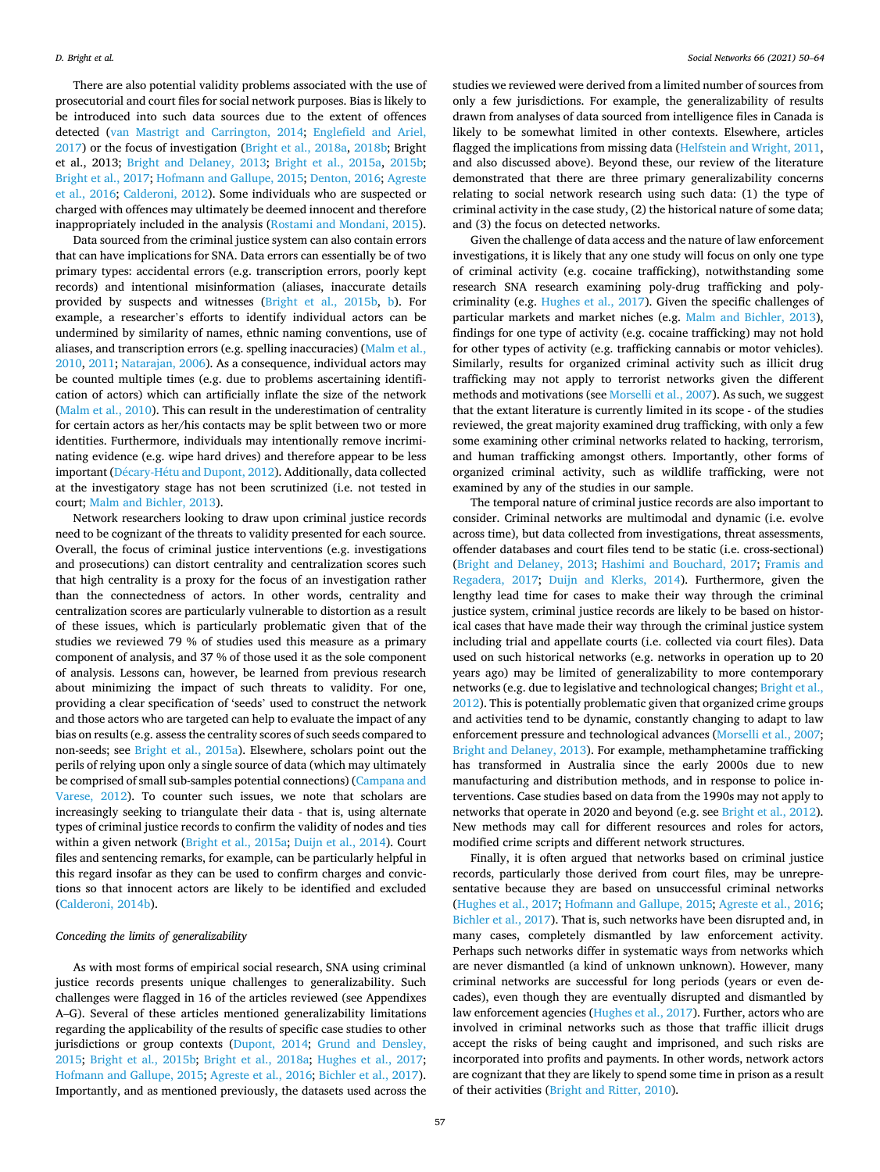There are also potential validity problems associated with the use of prosecutorial and court files for social network purposes. Bias is likely to be introduced into such data sources due to the extent of offences detected ([van Mastrigt and Carrington, 2014;](#page-14-0) [Englefield and Ariel,](#page-14-0)  [2017\)](#page-14-0) or the focus of investigation [\(Bright et al., 2018a,](#page-13-0) [2018b](#page-13-0); Bright et al., 2013; [Bright and Delaney, 2013](#page-13-0); [Bright et al., 2015a](#page-13-0), [2015b](#page-13-0); [Bright et al., 2017](#page-13-0); [Hofmann and Gallupe, 2015; Denton, 2016;](#page-14-0) [Agreste](#page-13-0)  [et al., 2016;](#page-13-0) [Calderoni, 2012\)](#page-13-0). Some individuals who are suspected or charged with offences may ultimately be deemed innocent and therefore inappropriately included in the analysis [\(Rostami and Mondani, 2015](#page-14-0)).

Data sourced from the criminal justice system can also contain errors that can have implications for SNA. Data errors can essentially be of two primary types: accidental errors (e.g. transcription errors, poorly kept records) and intentional misinformation (aliases, inaccurate details provided by suspects and witnesses ([Bright et al., 2015b,](#page-13-0) [b\)](#page-13-0). For example, a researcher's efforts to identify individual actors can be undermined by similarity of names, ethnic naming conventions, use of aliases, and transcription errors (e.g. spelling inaccuracies) [\(Malm et al.,](#page-14-0)  [2010, 2011; Natarajan, 2006](#page-14-0)). As a consequence, individual actors may be counted multiple times (e.g. due to problems ascertaining identification of actors) which can artificially inflate the size of the network ([Malm et al., 2010\)](#page-14-0). This can result in the underestimation of centrality for certain actors as her/his contacts may be split between two or more identities. Furthermore, individuals may intentionally remove incriminating evidence (e.g. wipe hard drives) and therefore appear to be less important (Décary-Hétu and Dupont, 2012). Additionally, data collected at the investigatory stage has not been scrutinized (i.e. not tested in court; [Malm and Bichler, 2013](#page-14-0)).

Network researchers looking to draw upon criminal justice records need to be cognizant of the threats to validity presented for each source. Overall, the focus of criminal justice interventions (e.g. investigations and prosecutions) can distort centrality and centralization scores such that high centrality is a proxy for the focus of an investigation rather than the connectedness of actors. In other words, centrality and centralization scores are particularly vulnerable to distortion as a result of these issues, which is particularly problematic given that of the studies we reviewed 79 % of studies used this measure as a primary component of analysis, and 37 % of those used it as the sole component of analysis. Lessons can, however, be learned from previous research about minimizing the impact of such threats to validity. For one, providing a clear specification of 'seeds' used to construct the network and those actors who are targeted can help to evaluate the impact of any bias on results (e.g. assess the centrality scores of such seeds compared to non-seeds; see [Bright et al., 2015a](#page-13-0)). Elsewhere, scholars point out the perils of relying upon only a single source of data (which may ultimately be comprised of small sub-samples potential connections) [\(Campana and](#page-13-0)  [Varese, 2012](#page-13-0)). To counter such issues, we note that scholars are increasingly seeking to triangulate their data - that is, using alternate types of criminal justice records to confirm the validity of nodes and ties within a given network ([Bright et al., 2015a](#page-13-0); [Duijn et al., 2014](#page-14-0)). Court files and sentencing remarks, for example, can be particularly helpful in this regard insofar as they can be used to confirm charges and convictions so that innocent actors are likely to be identified and excluded ([Calderoni, 2014b\)](#page-13-0).

#### *Conceding the limits of generalizability*

As with most forms of empirical social research, SNA using criminal justice records presents unique challenges to generalizability. Such challenges were flagged in 16 of the articles reviewed (see Appendixes A–G). Several of these articles mentioned generalizability limitations regarding the applicability of the results of specific case studies to other jurisdictions or group contexts [\(Dupont, 2014;](#page-14-0) [Grund and Densley,](#page-14-0)  [2015;](#page-14-0) [Bright et al., 2015b;](#page-13-0) [Bright et al., 2018a](#page-13-0); [Hughes et al., 2017](#page-14-0); [Hofmann and Gallupe, 2015;](#page-14-0) [Agreste et al., 2016](#page-13-0); [Bichler et al., 2017](#page-13-0)). Importantly, and as mentioned previously, the datasets used across the

studies we reviewed were derived from a limited number of sources from only a few jurisdictions. For example, the generalizability of results drawn from analyses of data sourced from intelligence files in Canada is likely to be somewhat limited in other contexts. Elsewhere, articles flagged the implications from missing data [\(Helfstein and Wright, 2011](#page-14-0), and also discussed above). Beyond these, our review of the literature demonstrated that there are three primary generalizability concerns relating to social network research using such data: (1) the type of criminal activity in the case study, (2) the historical nature of some data; and (3) the focus on detected networks.

Given the challenge of data access and the nature of law enforcement investigations, it is likely that any one study will focus on only one type of criminal activity (e.g. cocaine trafficking), notwithstanding some research SNA research examining poly-drug trafficking and polycriminality (e.g. [Hughes et al., 2017\)](#page-14-0). Given the specific challenges of particular markets and market niches (e.g. [Malm and Bichler, 2013](#page-14-0)), findings for one type of activity (e.g. cocaine trafficking) may not hold for other types of activity (e.g. trafficking cannabis or motor vehicles). Similarly, results for organized criminal activity such as illicit drug trafficking may not apply to terrorist networks given the different methods and motivations (see [Morselli et al., 2007](#page-14-0)). As such, we suggest that the extant literature is currently limited in its scope - of the studies reviewed, the great majority examined drug trafficking, with only a few some examining other criminal networks related to hacking, terrorism, and human trafficking amongst others. Importantly, other forms of organized criminal activity, such as wildlife trafficking, were not examined by any of the studies in our sample.

The temporal nature of criminal justice records are also important to consider. Criminal networks are multimodal and dynamic (i.e. evolve across time), but data collected from investigations, threat assessments, offender databases and court files tend to be static (i.e. cross-sectional) ([Bright and Delaney, 2013](#page-13-0); [Hashimi and Bouchard, 2017;](#page-14-0) [Framis and](#page-14-0)  [Regadera, 2017;](#page-14-0) [Duijn and Klerks, 2014\)](#page-14-0). Furthermore, given the lengthy lead time for cases to make their way through the criminal justice system, criminal justice records are likely to be based on historical cases that have made their way through the criminal justice system including trial and appellate courts (i.e. collected via court files). Data used on such historical networks (e.g. networks in operation up to 20 years ago) may be limited of generalizability to more contemporary networks (e.g. due to legislative and technological changes; [Bright et al.,](#page-13-0)  [2012\)](#page-13-0). This is potentially problematic given that organized crime groups and activities tend to be dynamic, constantly changing to adapt to law enforcement pressure and technological advances [\(Morselli et al., 2007](#page-14-0); [Bright and Delaney, 2013](#page-13-0)). For example, methamphetamine trafficking has transformed in Australia since the early 2000s due to new manufacturing and distribution methods, and in response to police interventions. Case studies based on data from the 1990s may not apply to networks that operate in 2020 and beyond (e.g. see [Bright et al., 2012](#page-13-0)). New methods may call for different resources and roles for actors, modified crime scripts and different network structures.

Finally, it is often argued that networks based on criminal justice records, particularly those derived from court files, may be unrepresentative because they are based on unsuccessful criminal networks ([Hughes et al., 2017](#page-14-0); [Hofmann and Gallupe, 2015](#page-14-0); [Agreste et al., 2016](#page-13-0); [Bichler et al., 2017](#page-13-0)). That is, such networks have been disrupted and, in many cases, completely dismantled by law enforcement activity. Perhaps such networks differ in systematic ways from networks which are never dismantled (a kind of unknown unknown). However, many criminal networks are successful for long periods (years or even decades), even though they are eventually disrupted and dismantled by law enforcement agencies ([Hughes et al., 2017](#page-14-0)). Further, actors who are involved in criminal networks such as those that traffic illicit drugs accept the risks of being caught and imprisoned, and such risks are incorporated into profits and payments. In other words, network actors are cognizant that they are likely to spend some time in prison as a result of their activities [\(Bright and Ritter, 2010](#page-13-0)).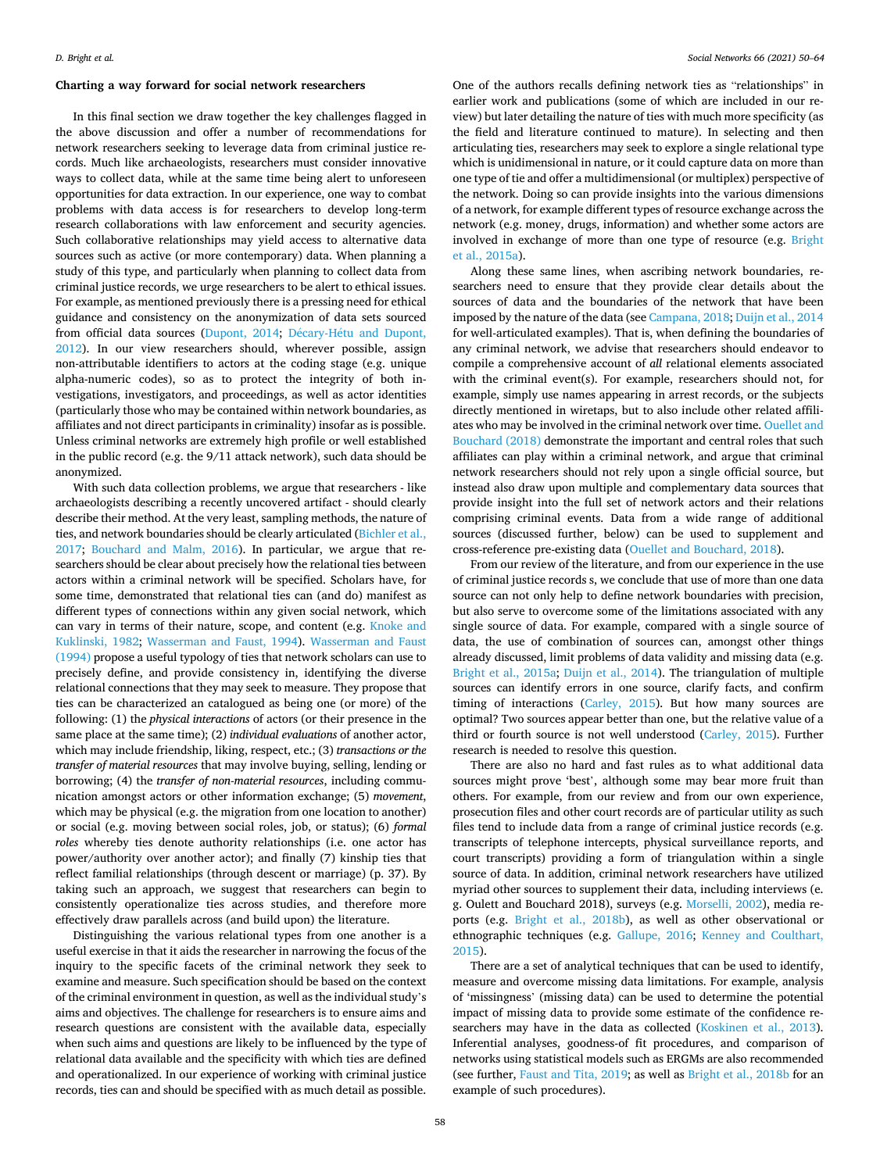#### **Charting a way forward for social network researchers**

In this final section we draw together the key challenges flagged in the above discussion and offer a number of recommendations for network researchers seeking to leverage data from criminal justice records. Much like archaeologists, researchers must consider innovative ways to collect data, while at the same time being alert to unforeseen opportunities for data extraction. In our experience, one way to combat problems with data access is for researchers to develop long-term research collaborations with law enforcement and security agencies. Such collaborative relationships may yield access to alternative data sources such as active (or more contemporary) data. When planning a study of this type, and particularly when planning to collect data from criminal justice records, we urge researchers to be alert to ethical issues. For example, as mentioned previously there is a pressing need for ethical guidance and consistency on the anonymization of data sets sourced from official data sources ([Dupont, 2014](#page-14-0); Décary-Hétu and Dupont, [2012\)](#page-14-0). In our view researchers should, wherever possible, assign non-attributable identifiers to actors at the coding stage (e.g. unique alpha-numeric codes), so as to protect the integrity of both investigations, investigators, and proceedings, as well as actor identities (particularly those who may be contained within network boundaries, as affiliates and not direct participants in criminality) insofar as is possible. Unless criminal networks are extremely high profile or well established in the public record (e.g. the 9/11 attack network), such data should be anonymized.

With such data collection problems, we argue that researchers - like archaeologists describing a recently uncovered artifact - should clearly describe their method. At the very least, sampling methods, the nature of ties, and network boundaries should be clearly articulated ([Bichler et al.,](#page-13-0)  [2017;](#page-13-0) [Bouchard and Malm, 2016](#page-13-0)). In particular, we argue that researchers should be clear about precisely how the relational ties between actors within a criminal network will be specified. Scholars have, for some time, demonstrated that relational ties can (and do) manifest as different types of connections within any given social network, which can vary in terms of their nature, scope, and content (e.g. [Knoke and](#page-14-0)  [Kuklinski, 1982](#page-14-0); [Wasserman and Faust, 1994\)](#page-14-0). [Wasserman and Faust](#page-14-0)  [\(1994\)](#page-14-0) propose a useful typology of ties that network scholars can use to precisely define, and provide consistency in, identifying the diverse relational connections that they may seek to measure. They propose that ties can be characterized an catalogued as being one (or more) of the following: (1) the *physical interactions* of actors (or their presence in the same place at the same time); (2) *individual evaluations* of another actor, which may include friendship, liking, respect, etc.; (3) *transactions or the transfer of material resources* that may involve buying, selling, lending or borrowing; (4) the *transfer of non-material resources*, including communication amongst actors or other information exchange; (5) *movement*, which may be physical (e.g. the migration from one location to another) or social (e.g. moving between social roles, job, or status); (6) *formal roles* whereby ties denote authority relationships (i.e. one actor has power/authority over another actor); and finally (7) kinship ties that reflect familial relationships (through descent or marriage) (p. 37). By taking such an approach, we suggest that researchers can begin to consistently operationalize ties across studies, and therefore more effectively draw parallels across (and build upon) the literature.

Distinguishing the various relational types from one another is a useful exercise in that it aids the researcher in narrowing the focus of the inquiry to the specific facets of the criminal network they seek to examine and measure. Such specification should be based on the context of the criminal environment in question, as well as the individual study's aims and objectives. The challenge for researchers is to ensure aims and research questions are consistent with the available data, especially when such aims and questions are likely to be influenced by the type of relational data available and the specificity with which ties are defined and operationalized. In our experience of working with criminal justice records, ties can and should be specified with as much detail as possible.

One of the authors recalls defining network ties as "relationships" in earlier work and publications (some of which are included in our review) but later detailing the nature of ties with much more specificity (as the field and literature continued to mature). In selecting and then articulating ties, researchers may seek to explore a single relational type which is unidimensional in nature, or it could capture data on more than one type of tie and offer a multidimensional (or multiplex) perspective of the network. Doing so can provide insights into the various dimensions of a network, for example different types of resource exchange across the network (e.g. money, drugs, information) and whether some actors are involved in exchange of more than one type of resource (e.g. [Bright](#page-13-0)  [et al., 2015a\)](#page-13-0).

Along these same lines, when ascribing network boundaries, researchers need to ensure that they provide clear details about the sources of data and the boundaries of the network that have been imposed by the nature of the data (see [Campana, 2018](#page-13-0); [Duijn et al., 2014](#page-14-0)  for well-articulated examples). That is, when defining the boundaries of any criminal network, we advise that researchers should endeavor to compile a comprehensive account of *all* relational elements associated with the criminal event(s). For example, researchers should not, for example, simply use names appearing in arrest records, or the subjects directly mentioned in wiretaps, but to also include other related affiliates who may be involved in the criminal network over time. [Ouellet and](#page-14-0)  [Bouchard \(2018\)](#page-14-0) demonstrate the important and central roles that such affiliates can play within a criminal network, and argue that criminal network researchers should not rely upon a single official source, but instead also draw upon multiple and complementary data sources that provide insight into the full set of network actors and their relations comprising criminal events. Data from a wide range of additional sources (discussed further, below) can be used to supplement and cross-reference pre-existing data [\(Ouellet and Bouchard, 2018\)](#page-14-0).

From our review of the literature, and from our experience in the use of criminal justice records s, we conclude that use of more than one data source can not only help to define network boundaries with precision, but also serve to overcome some of the limitations associated with any single source of data. For example, compared with a single source of data, the use of combination of sources can, amongst other things already discussed, limit problems of data validity and missing data (e.g. [Bright et al., 2015a;](#page-13-0) [Duijn et al., 2014](#page-14-0)). The triangulation of multiple sources can identify errors in one source, clarify facts, and confirm timing of interactions ([Carley, 2015\)](#page-13-0). But how many sources are optimal? Two sources appear better than one, but the relative value of a third or fourth source is not well understood ([Carley, 2015\)](#page-13-0). Further research is needed to resolve this question.

There are also no hard and fast rules as to what additional data sources might prove 'best', although some may bear more fruit than others. For example, from our review and from our own experience, prosecution files and other court records are of particular utility as such files tend to include data from a range of criminal justice records (e.g. transcripts of telephone intercepts, physical surveillance reports, and court transcripts) providing a form of triangulation within a single source of data. In addition, criminal network researchers have utilized myriad other sources to supplement their data, including interviews (e. g. Oulett and Bouchard 2018), surveys (e.g. [Morselli, 2002](#page-14-0)), media reports (e.g. [Bright et al., 2018b](#page-13-0)), as well as other observational or ethnographic techniques (e.g. [Gallupe, 2016](#page-14-0); [Kenney and Coulthart,](#page-14-0)  [2015\)](#page-14-0).

There are a set of analytical techniques that can be used to identify, measure and overcome missing data limitations. For example, analysis of 'missingness' (missing data) can be used to determine the potential impact of missing data to provide some estimate of the confidence researchers may have in the data as collected [\(Koskinen et al., 2013](#page-14-0)). Inferential analyses, goodness-of fit procedures, and comparison of networks using statistical models such as ERGMs are also recommended (see further, [Faust and Tita, 2019;](#page-14-0) as well as [Bright et al., 2018b](#page-13-0) for an example of such procedures).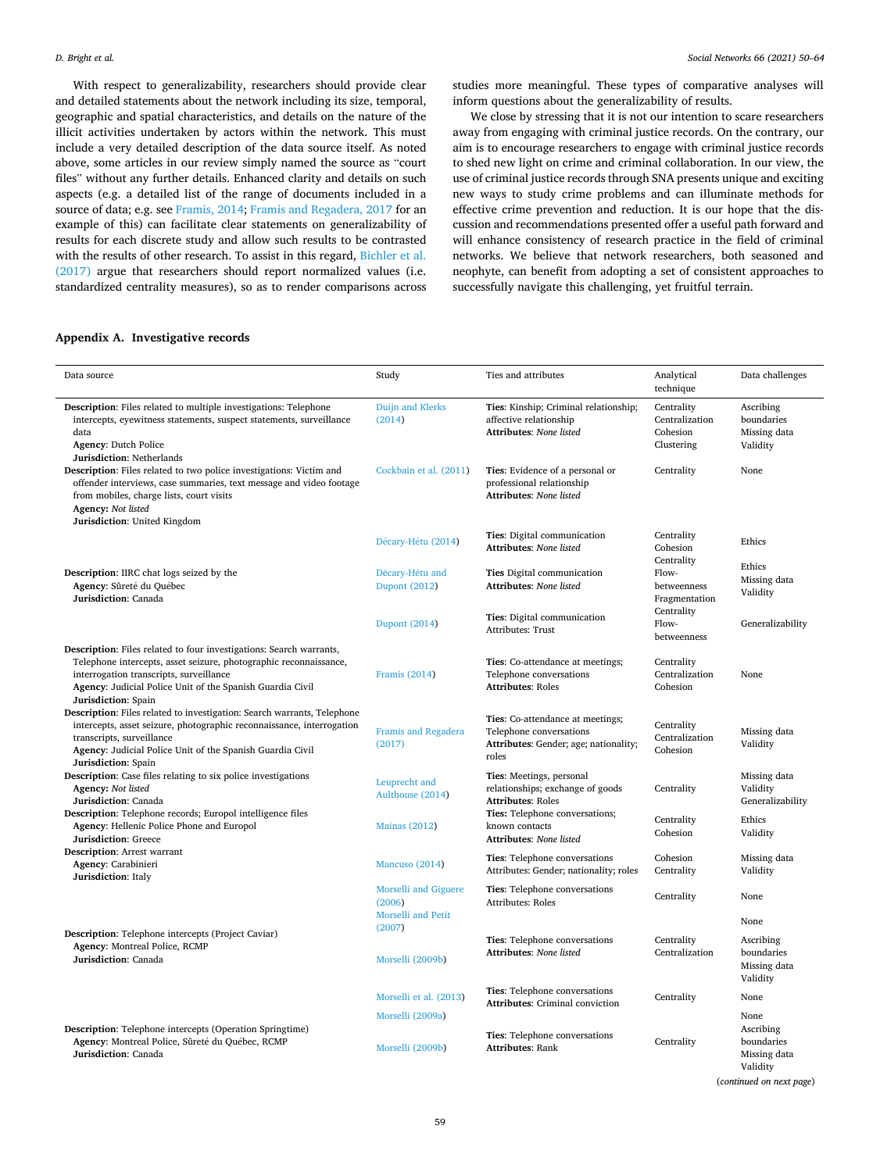With respect to generalizability, researchers should provide clear and detailed statements about the network including its size, temporal, geographic and spatial characteristics, and details on the nature of the illicit activities undertaken by actors within the network. This must include a very detailed description of the data source itself. As noted above, some articles in our review simply named the source as "court files" without any further details. Enhanced clarity and details on such aspects (e.g. a detailed list of the range of documents included in a source of data; e.g. see [Framis, 2014](#page-14-0); [Framis and Regadera, 2017](#page-14-0) for an example of this) can facilitate clear statements on generalizability of results for each discrete study and allow such results to be contrasted with the results of other research. To assist in this regard, [Bichler et al.](#page-13-0)  [\(2017\)](#page-13-0) argue that researchers should report normalized values (i.e. standardized centrality measures), so as to render comparisons across studies more meaningful. These types of comparative analyses will inform questions about the generalizability of results.

We close by stressing that it is not our intention to scare researchers away from engaging with criminal justice records. On the contrary, our aim is to encourage researchers to engage with criminal justice records to shed new light on crime and criminal collaboration. In our view, the use of criminal justice records through SNA presents unique and exciting new ways to study crime problems and can illuminate methods for effective crime prevention and reduction. It is our hope that the discussion and recommendations presented offer a useful path forward and will enhance consistency of research practice in the field of criminal networks. We believe that network researchers, both seasoned and neophyte, can benefit from adopting a set of consistent approaches to successfully navigate this challenging, yet fruitful terrain.

#### **Appendix A. Investigative records**

| Data source                                                                                                                                                                                                                                                             | Study                                                       | Ties and attributes                                                                                                  | Analytical<br>technique                                | Data challenges                                     |
|-------------------------------------------------------------------------------------------------------------------------------------------------------------------------------------------------------------------------------------------------------------------------|-------------------------------------------------------------|----------------------------------------------------------------------------------------------------------------------|--------------------------------------------------------|-----------------------------------------------------|
| <b>Description:</b> Files related to multiple investigations: Telephone<br>intercepts, eyewitness statements, suspect statements, surveillance<br>data<br><b>Agency: Dutch Police</b><br>Jurisdiction: Netherlands                                                      | Duijn and Klerks<br>(2014)                                  | Ties: Kinship; Criminal relationship;<br>affective relationship<br><b>Attributes: None listed</b>                    | Centrality<br>Centralization<br>Cohesion<br>Clustering | Ascribing<br>boundaries<br>Missing data<br>Validity |
| Description: Files related to two police investigations: Victim and<br>offender interviews, case summaries, text message and video footage<br>from mobiles, charge lists, court visits<br>Agency: Not listed<br>Jurisdiction: United Kingdom                            | Cockbain et al. (2011)                                      | Ties: Evidence of a personal or<br>professional relationship<br>Attributes: None listed                              | Centrality                                             | None                                                |
|                                                                                                                                                                                                                                                                         | Décary-Hétu (2014)                                          | Ties: Digital communication<br><b>Attributes: None listed</b>                                                        | Centrality<br>Cohesion                                 | Ethics                                              |
| Description: IIRC chat logs seized by the<br>Agency: Sûreté du Québec<br>Jurisdiction: Canada                                                                                                                                                                           | Décary-Hétu and<br><b>Dupont (2012)</b>                     | Ties Digital communication<br><b>Attributes: None listed</b>                                                         | Centrality<br>Flow-<br>betweenness<br>Fragmentation    | Ethics<br>Missing data<br>Validity                  |
|                                                                                                                                                                                                                                                                         | <b>Dupont (2014)</b>                                        | Ties: Digital communication<br>Attributes: Trust                                                                     | Centrality<br>Flow-<br>betweenness                     | Generalizability                                    |
| Description: Files related to four investigations: Search warrants,<br>Telephone intercepts, asset seizure, photographic reconnaissance,<br>interrogation transcripts, surveillance<br>Agency: Judicial Police Unit of the Spanish Guardia Civil<br>Jurisdiction: Spain | Framis (2014)                                               | Ties: Co-attendance at meetings;<br>Telephone conversations<br><b>Attributes: Roles</b>                              | Centrality<br>Centralization<br>Cohesion               | <b>None</b>                                         |
| Description: Files related to investigation: Search warrants, Telephone<br>intercepts, asset seizure, photographic reconnaissance, interrogation<br>transcripts, surveillance<br>Agency: Judicial Police Unit of the Spanish Guardia Civil<br>Jurisdiction: Spain       | <b>Framis and Regadera</b><br>(2017)                        | <b>Ties:</b> Co-attendance at meetings;<br>Telephone conversations<br>Attributes: Gender; age; nationality;<br>roles | Centrality<br>Centralization<br>Cohesion               | Missing data<br>Validity                            |
| <b>Description:</b> Case files relating to six police investigations<br>Agency: Not listed<br>Jurisdiction: Canada                                                                                                                                                      | Leuprecht and<br>Aulthouse (2014)                           | Ties: Meetings, personal<br>relationships; exchange of goods<br><b>Attributes: Roles</b>                             | Centrality                                             | Missing data<br>Validity<br>Generalizability        |
| Description: Telephone records; Europol intelligence files<br>Agency: Hellenic Police Phone and Europol<br><b>Jurisdiction:</b> Greece                                                                                                                                  | <b>Mainas (2012)</b>                                        | Ties: Telephone conversations;<br>known contacts<br>Attributes: None listed                                          | Centrality<br>Cohesion                                 | Ethics<br>Validity                                  |
| <b>Description:</b> Arrest warrant<br>Agency: Carabinieri<br>Jurisdiction: Italy                                                                                                                                                                                        | Mancuso (2014)                                              | Ties: Telephone conversations<br>Attributes: Gender; nationality; roles                                              | Cohesion<br>Centrality                                 | Missing data<br>Validity                            |
|                                                                                                                                                                                                                                                                         | Morselli and Giguere<br>(2006)<br><b>Morselli and Petit</b> | Ties: Telephone conversations<br><b>Attributes: Roles</b>                                                            | Centrality                                             | None                                                |
|                                                                                                                                                                                                                                                                         | (2007)                                                      |                                                                                                                      |                                                        | None                                                |
| <b>Description:</b> Telephone intercepts (Project Caviar)<br>Agency: Montreal Police, RCMP<br>Jurisdiction: Canada                                                                                                                                                      | Morselli (2009b)                                            | Ties: Telephone conversations<br><b>Attributes: None listed</b>                                                      | Centrality<br>Centralization                           | Ascribing<br>boundaries<br>Missing data<br>Validity |
|                                                                                                                                                                                                                                                                         | Morselli et al. (2013)                                      | Ties: Telephone conversations<br>Attributes: Criminal conviction                                                     | Centrality                                             | None                                                |
|                                                                                                                                                                                                                                                                         | Morselli (2009a)                                            |                                                                                                                      |                                                        | None                                                |
| <b>Description:</b> Telephone intercepts (Operation Springtime)<br>Agency: Montreal Police, Sûreté du Québec, RCMP<br>Jurisdiction: Canada                                                                                                                              | Morselli (2009b)                                            | Ties: Telephone conversations<br><b>Attributes: Rank</b>                                                             | Centrality                                             | Ascribing<br>boundaries<br>Missing data<br>Validity |

(*continued on next page*)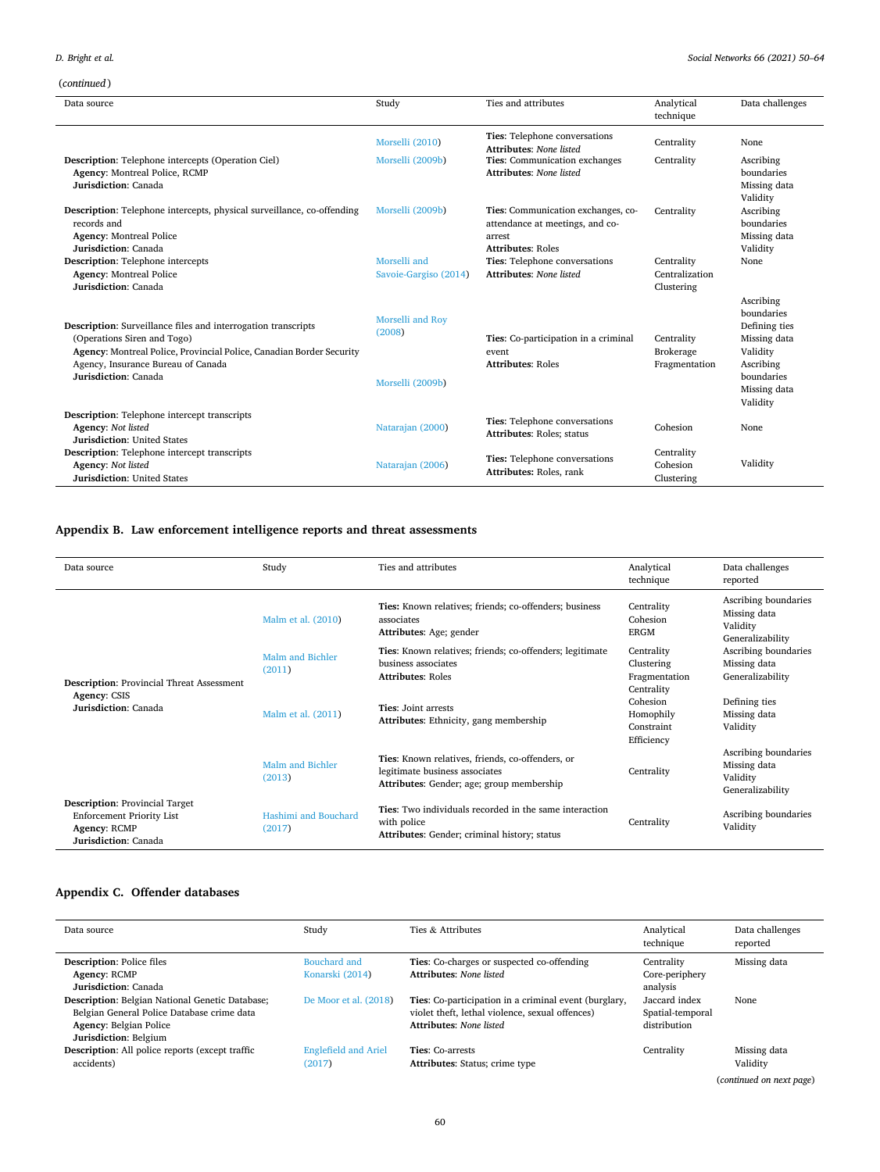## *D. Bright et al.*

(*continued* )

| Data source                                                                                                                                                                                                                               | Study                                          | Ties and attributes                                                                                         | Analytical<br>technique                         | Data challenges                                                                                                             |
|-------------------------------------------------------------------------------------------------------------------------------------------------------------------------------------------------------------------------------------------|------------------------------------------------|-------------------------------------------------------------------------------------------------------------|-------------------------------------------------|-----------------------------------------------------------------------------------------------------------------------------|
|                                                                                                                                                                                                                                           | Morselli (2010)                                | Ties: Telephone conversations<br><b>Attributes: None listed</b>                                             | Centrality                                      | None                                                                                                                        |
| <b>Description:</b> Telephone intercepts (Operation Ciel)<br><b>Agency: Montreal Police, RCMP</b><br>Jurisdiction: Canada                                                                                                                 | Morselli (2009b)                               | Ties: Communication exchanges<br><b>Attributes: None listed</b>                                             | Centrality                                      | Ascribing<br>boundaries<br>Missing data<br>Validity                                                                         |
| <b>Description:</b> Telephone intercepts, physical surveillance, co-offending<br>records and<br><b>Agency: Montreal Police</b><br>Jurisdiction: Canada                                                                                    | Morselli (2009b)                               | Ties: Communication exchanges, co-<br>attendance at meetings, and co-<br>arrest<br><b>Attributes: Roles</b> | Centrality                                      | Ascribing<br>boundaries<br>Missing data<br>Validity                                                                         |
| Description: Telephone intercepts<br><b>Agency: Montreal Police</b><br>Jurisdiction: Canada                                                                                                                                               | Morselli and<br>Savoie-Gargiso (2014)          | Ties: Telephone conversations<br><b>Attributes: None listed</b>                                             | Centrality<br>Centralization<br>Clustering      | None                                                                                                                        |
| <b>Description:</b> Surveillance files and interrogation transcripts<br>(Operations Siren and Togo)<br>Agency: Montreal Police, Provincial Police, Canadian Border Security<br>Agency, Insurance Bureau of Canada<br>Jurisdiction: Canada | Morselli and Roy<br>(2008)<br>Morselli (2009b) | Ties: Co-participation in a criminal<br>event<br><b>Attributes: Roles</b>                                   | Centrality<br><b>Brokerage</b><br>Fragmentation | Ascribing<br>boundaries<br>Defining ties<br>Missing data<br>Validity<br>Ascribing<br>boundaries<br>Missing data<br>Validity |
| <b>Description:</b> Telephone intercept transcripts<br>Agency: Not listed<br><b>Jurisdiction: United States</b>                                                                                                                           | Natarajan (2000)                               | Ties: Telephone conversations<br>Attributes: Roles; status                                                  | Cohesion                                        | None                                                                                                                        |
| <b>Description:</b> Telephone intercept transcripts<br><b>Agency: Not listed</b><br><b>Jurisdiction: United States</b>                                                                                                                    | Natarajan (2006)                               | Ties: Telephone conversations<br>Attributes: Roles, rank                                                    | Centrality<br>Cohesion<br>Clustering            | Validity                                                                                                                    |

## **Appendix B. Law enforcement intelligence reports and threat assessments**

| Data source                                                                                                       | Study                             | Ties and attributes                                                                                                             | Analytical<br>technique                                 | Data challenges<br>reported                                          |
|-------------------------------------------------------------------------------------------------------------------|-----------------------------------|---------------------------------------------------------------------------------------------------------------------------------|---------------------------------------------------------|----------------------------------------------------------------------|
| <b>Description:</b> Provincial Threat Assessment<br>Agency: CSIS<br>Jurisdiction: Canada                          | Malm et al. (2010)                | Ties: Known relatives; friends; co-offenders; business<br>associates<br>Attributes: Age; gender                                 | Centrality<br>Cohesion<br><b>ERGM</b>                   | Ascribing boundaries<br>Missing data<br>Validity<br>Generalizability |
|                                                                                                                   | <b>Malm and Bichler</b><br>(2011) | Ties: Known relatives; friends; co-offenders; legitimate<br>business associates<br><b>Attributes: Roles</b>                     | Centrality<br>Clustering<br>Fragmentation<br>Centrality | Ascribing boundaries<br>Missing data<br>Generalizability             |
|                                                                                                                   | Malm et al. (2011)                | Ties: Joint arrests<br>Attributes: Ethnicity, gang membership                                                                   | Cohesion<br>Homophily<br>Constraint<br>Efficiency       | Defining ties<br>Missing data<br>Validity                            |
|                                                                                                                   | Malm and Bichler<br>(2013)        | Ties: Known relatives, friends, co-offenders, or<br>legitimate business associates<br>Attributes: Gender; age; group membership | Centrality                                              | Ascribing boundaries<br>Missing data<br>Validity<br>Generalizability |
| <b>Description:</b> Provincial Target<br><b>Enforcement Priority List</b><br>Agency: RCMP<br>Jurisdiction: Canada | Hashimi and Bouchard<br>(2017)    | Ties: Two individuals recorded in the same interaction<br>with police<br>Attributes: Gender; criminal history; status           | Centrality                                              | Ascribing boundaries<br>Validity                                     |

## **Appendix C. Offender databases**

| Data source                                                                                                                                             | Study                                 | Ties & Attributes                                                                                                                          | Analytical<br>technique                           | Data challenges<br>reported |
|---------------------------------------------------------------------------------------------------------------------------------------------------------|---------------------------------------|--------------------------------------------------------------------------------------------------------------------------------------------|---------------------------------------------------|-----------------------------|
| <b>Description: Police files</b><br>Agency: RCMP<br>Jurisdiction: Canada                                                                                | Bouchard and<br>Konarski (2014)       | Ties: Co-charges or suspected co-offending<br><b>Attributes: None listed</b>                                                               | Centrality<br>Core-periphery<br>analysis          | Missing data                |
| Description: Belgian National Genetic Database;<br>Belgian General Police Database crime data<br><b>Agency: Belgian Police</b><br>Jurisdiction: Belgium | De Moor et al. (2018)                 | Ties: Co-participation in a criminal event (burglary,<br>violet theft, lethal violence, sexual offences)<br><b>Attributes: None listed</b> | Jaccard index<br>Spatial-temporal<br>distribution | <b>None</b>                 |
| <b>Description:</b> All police reports (except traffic<br>accidents)                                                                                    | <b>Englefield and Ariel</b><br>(2017) | Ties: Co-arrests<br>Attributes: Status; crime type                                                                                         | Centrality                                        | Missing data<br>Validity    |
|                                                                                                                                                         |                                       |                                                                                                                                            |                                                   | (continued on next page)    |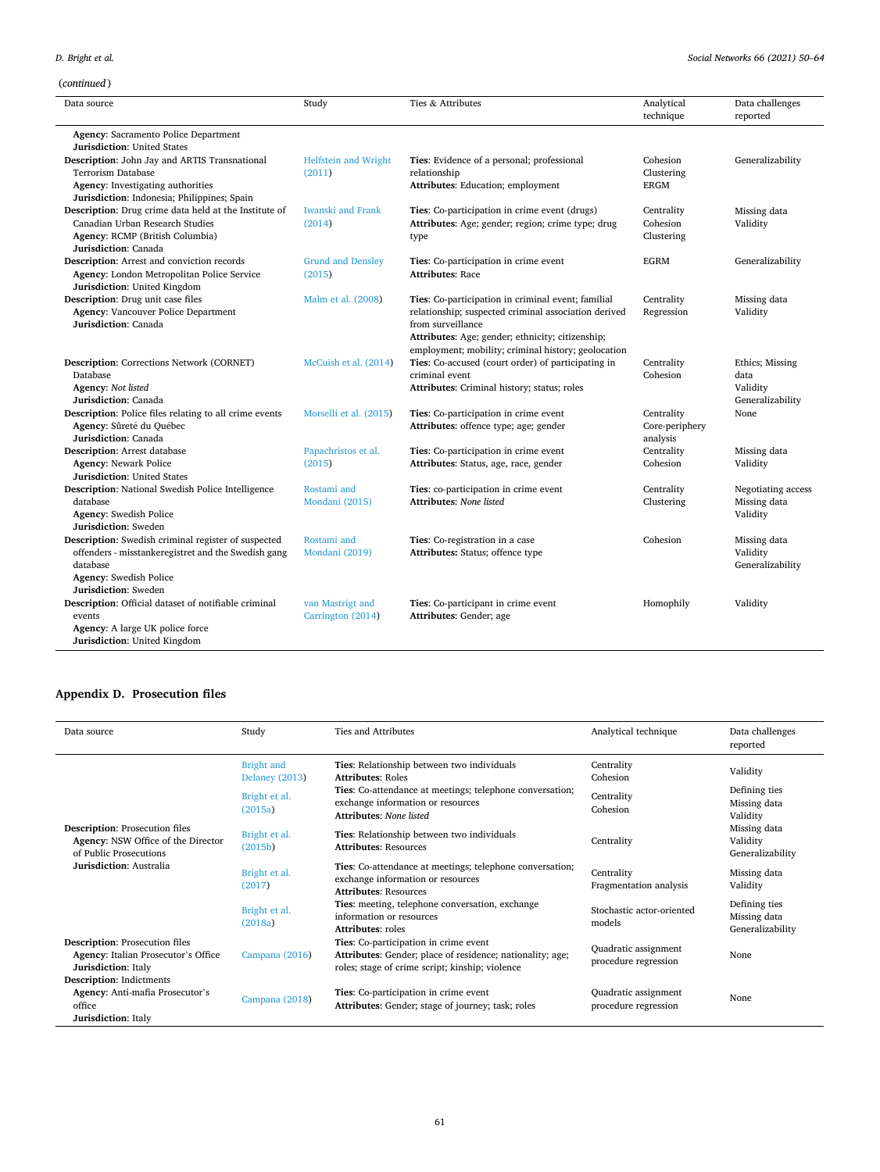## *D. Bright et al.*

# (*continued* )

| Data source                                                                                                                                                              | Study                                 | Ties & Attributes                                                                                                                                                                                                                          | Analytical<br>technique                  | Data challenges<br>reported                             |
|--------------------------------------------------------------------------------------------------------------------------------------------------------------------------|---------------------------------------|--------------------------------------------------------------------------------------------------------------------------------------------------------------------------------------------------------------------------------------------|------------------------------------------|---------------------------------------------------------|
| <b>Agency: Sacramento Police Department</b><br><b>Jurisdiction: United States</b>                                                                                        |                                       |                                                                                                                                                                                                                                            |                                          |                                                         |
| <b>Description:</b> John Jay and ARTIS Transnational<br>Terrorism Database<br>Agency: Investigating authorities<br>Jurisdiction: Indonesia; Philippines; Spain           | <b>Helfstein and Wright</b><br>(2011) | Ties: Evidence of a personal; professional<br>relationship<br>Attributes: Education; employment                                                                                                                                            | Cohesion<br>Clustering<br><b>ERGM</b>    | Generalizability                                        |
| Description: Drug crime data held at the Institute of<br>Canadian Urban Research Studies<br>Agency: RCMP (British Columbia)<br>Jurisdiction: Canada                      | <b>Iwanski and Frank</b><br>(2014)    | Ties: Co-participation in crime event (drugs)<br>Attributes: Age; gender; region; crime type; drug<br>type                                                                                                                                 | Centrality<br>Cohesion<br>Clustering     | Missing data<br>Validity                                |
| <b>Description:</b> Arrest and conviction records<br>Agency: London Metropolitan Police Service<br>Jurisdiction: United Kingdom                                          | <b>Grund and Densley</b><br>(2015)    | Ties: Co-participation in crime event<br><b>Attributes: Race</b>                                                                                                                                                                           | <b>EGRM</b>                              | Generalizability                                        |
| Description: Drug unit case files<br><b>Agency: Vancouver Police Department</b><br>Jurisdiction: Canada                                                                  | Malm et al. (2008)                    | Ties: Co-participation in criminal event; familial<br>relationship; suspected criminal association derived<br>from surveillance<br>Attributes: Age; gender; ethnicity; citizenship;<br>employment; mobility; criminal history; geolocation | Centrality<br>Regression                 | Missing data<br>Validity                                |
| Description: Corrections Network (CORNET)<br>Database<br>Agency: Not listed<br>Jurisdiction: Canada                                                                      | McCuish et al. (2014)                 | Ties: Co-accused (court order) of participating in<br>criminal event<br>Attributes: Criminal history; status; roles                                                                                                                        | Centrality<br>Cohesion                   | Ethics; Missing<br>data<br>Validity<br>Generalizability |
| Description: Police files relating to all crime events<br>Agency: Sûreté du Québec<br>Jurisdiction: Canada                                                               | Morselli et al. (2015)                | Ties: Co-participation in crime event<br>Attributes: offence type; age; gender                                                                                                                                                             | Centrality<br>Core-periphery<br>analysis | None                                                    |
| <b>Description:</b> Arrest database<br><b>Agency: Newark Police</b><br><b>Jurisdiction: United States</b>                                                                | Papachristos et al.<br>(2015)         | Ties: Co-participation in crime event<br>Attributes: Status, age, race, gender                                                                                                                                                             | Centrality<br>Cohesion                   | Missing data<br>Validity                                |
| Description: National Swedish Police Intelligence<br>database<br><b>Agency:</b> Swedish Police<br>Jurisdiction: Sweden                                                   | Rostami and<br>Mondani (2015)         | Ties: co-participation in crime event<br><b>Attributes: None listed</b>                                                                                                                                                                    | Centrality<br>Clustering                 | Negotiating access<br>Missing data<br>Validity          |
| Description: Swedish criminal register of suspected<br>offenders - misstankeregistret and the Swedish gang<br>database<br>Agency: Swedish Police<br>Jurisdiction: Sweden | Rostami and<br>Mondani (2019)         | Ties: Co-registration in a case<br>Attributes: Status; offence type                                                                                                                                                                        | Cohesion                                 | Missing data<br>Validity<br>Generalizability            |
| Description: Official dataset of notifiable criminal<br>events<br>Agency: A large UK police force<br>Jurisdiction: United Kingdom                                        | van Mastrigt and<br>Carrington (2014) | Ties: Co-participant in crime event<br>Attributes: Gender; age                                                                                                                                                                             | Homophily                                | Validity                                                |

## **Appendix D. Prosecution files**

| Data source                                                                                                                      | Study                                      | Ties and Attributes                                                                                                                                   | Analytical technique                         | Data challenges<br>reported                       |
|----------------------------------------------------------------------------------------------------------------------------------|--------------------------------------------|-------------------------------------------------------------------------------------------------------------------------------------------------------|----------------------------------------------|---------------------------------------------------|
| <b>Description:</b> Prosecution files<br>Agency: NSW Office of the Director<br>of Public Prosecutions<br>Jurisdiction: Australia | <b>Bright and</b><br><b>Delaney</b> (2013) | Ties: Relationship between two individuals<br><b>Attributes: Roles</b>                                                                                | Centrality<br>Cohesion                       | Validity                                          |
|                                                                                                                                  | Bright et al.<br>(2015a)                   | Ties: Co-attendance at meetings; telephone conversation;<br>exchange information or resources<br><b>Attributes: None listed</b>                       | Centrality<br>Cohesion                       | Defining ties<br>Missing data<br>Validity         |
|                                                                                                                                  | Bright et al.<br>(2015b)                   | Ties: Relationship between two individuals<br><b>Attributes: Resources</b>                                                                            | Centrality                                   | Missing data<br>Validity<br>Generalizability      |
|                                                                                                                                  | Bright et al.<br>(2017)                    | Ties: Co-attendance at meetings; telephone conversation;<br>exchange information or resources<br><b>Attributes: Resources</b>                         | Centrality<br>Fragmentation analysis         | Missing data<br>Validity                          |
|                                                                                                                                  | Bright et al.<br>(2018a)                   | Ties: meeting, telephone conversation, exchange<br>information or resources<br><b>Attributes:</b> roles                                               | Stochastic actor-oriented<br>models          | Defining ties<br>Missing data<br>Generalizability |
| <b>Description:</b> Prosecution files<br>Agency: Italian Prosecutor's Office<br><b>Jurisdiction:</b> Italy                       | Campana (2016)                             | Ties: Co-participation in crime event<br>Attributes: Gender; place of residence; nationality; age;<br>roles; stage of crime script; kinship; violence | Quadratic assignment<br>procedure regression | None                                              |
| Description: Indictments<br>Agency: Anti-mafia Prosecutor's<br>office<br>Jurisdiction: Italy                                     | Campana (2018)                             | Ties: Co-participation in crime event<br>Attributes: Gender; stage of journey; task; roles                                                            | Quadratic assignment<br>procedure regression | None                                              |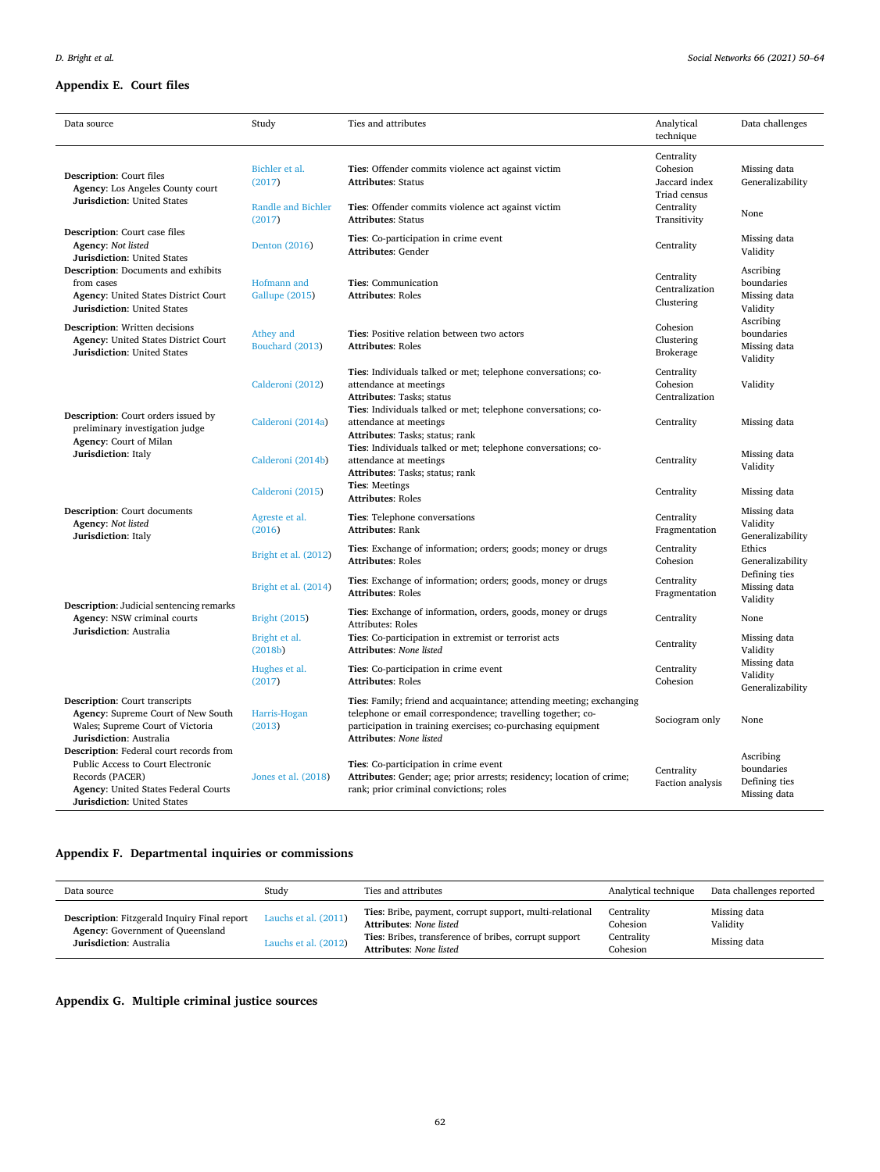## **Appendix E. Court files**

| Data source                                                                                                                                                                          | Study                               | Ties and attributes                                                                                                                                                                                                                   | Analytical<br>technique                    | Data challenges                                          |
|--------------------------------------------------------------------------------------------------------------------------------------------------------------------------------------|-------------------------------------|---------------------------------------------------------------------------------------------------------------------------------------------------------------------------------------------------------------------------------------|--------------------------------------------|----------------------------------------------------------|
| <b>Description:</b> Court files<br>Agency: Los Angeles County court                                                                                                                  | Bichler et al.<br>(2017)            | Ties: Offender commits violence act against victim<br><b>Attributes: Status</b>                                                                                                                                                       | Centrality<br>Cohesion<br>Jaccard index    | Missing data<br>Generalizability                         |
| <b>Jurisdiction: United States</b>                                                                                                                                                   | <b>Randle and Bichler</b><br>(2017) | Ties: Offender commits violence act against victim<br><b>Attributes: Status</b>                                                                                                                                                       | Triad census<br>Centrality<br>Transitivity | None                                                     |
| Description: Court case files<br>Agency: Not listed<br><b>Jurisdiction: United States</b>                                                                                            | Denton (2016)                       | Ties: Co-participation in crime event<br><b>Attributes: Gender</b>                                                                                                                                                                    | Centrality                                 | Missing data<br>Validity                                 |
| Description: Documents and exhibits<br>from cases<br><b>Agency: United States District Court</b><br>Jurisdiction: United States                                                      | Hofmann and<br>Gallupe (2015)       | Ties: Communication<br><b>Attributes: Roles</b>                                                                                                                                                                                       | Centrality<br>Centralization<br>Clustering | Ascribing<br>boundaries<br>Missing data<br>Validity      |
| <b>Description:</b> Written decisions<br><b>Agency: United States District Court</b><br><b>Jurisdiction: United States</b>                                                           | Athey and<br>Bouchard (2013)        | Ties: Positive relation between two actors<br><b>Attributes: Roles</b>                                                                                                                                                                | Cohesion<br>Clustering<br><b>Brokerage</b> | Ascribing<br>boundaries<br>Missing data<br>Validity      |
|                                                                                                                                                                                      | Calderoni (2012)                    | Ties: Individuals talked or met; telephone conversations; co-<br>attendance at meetings<br>Attributes: Tasks; status                                                                                                                  | Centrality<br>Cohesion<br>Centralization   | Validity                                                 |
| Description: Court orders issued by<br>preliminary investigation judge<br>Agency: Court of Milan                                                                                     | Calderoni (2014a)                   | Ties: Individuals talked or met; telephone conversations; co-<br>attendance at meetings<br>Attributes: Tasks; status; rank                                                                                                            | Centrality                                 | Missing data                                             |
| Jurisdiction: Italy                                                                                                                                                                  | Calderoni (2014b)                   | Ties: Individuals talked or met; telephone conversations; co-<br>attendance at meetings<br>Attributes: Tasks; status; rank                                                                                                            | Centrality                                 | Missing data<br>Validity                                 |
|                                                                                                                                                                                      | Calderoni (2015)                    | <b>Ties: Meetings</b><br><b>Attributes: Roles</b>                                                                                                                                                                                     | Centrality                                 | Missing data                                             |
| Description: Court documents<br>Agency: Not listed<br>Jurisdiction: Italy                                                                                                            | Agreste et al.<br>(2016)            | Ties: Telephone conversations<br><b>Attributes: Rank</b>                                                                                                                                                                              | Centrality<br>Fragmentation                | Missing data<br>Validity<br>Generalizability             |
|                                                                                                                                                                                      | Bright et al. (2012)                | Ties: Exchange of information; orders; goods; money or drugs<br><b>Attributes: Roles</b>                                                                                                                                              | Centrality<br>Cohesion                     | Ethics<br>Generalizability                               |
|                                                                                                                                                                                      | Bright et al. (2014)                | Ties: Exchange of information; orders; goods, money or drugs<br><b>Attributes: Roles</b>                                                                                                                                              | Centrality<br>Fragmentation                | Defining ties<br>Missing data<br>Validity                |
| <b>Description:</b> Judicial sentencing remarks<br>Agency: NSW criminal courts                                                                                                       | <b>Bright (2015)</b>                | Ties: Exchange of information, orders, goods, money or drugs<br><b>Attributes: Roles</b>                                                                                                                                              | Centrality                                 | None                                                     |
| Jurisdiction: Australia                                                                                                                                                              | Bright et al.<br>(2018b)            | Ties: Co-participation in extremist or terrorist acts<br>Attributes: None listed                                                                                                                                                      | Centrality                                 | Missing data<br>Validity                                 |
|                                                                                                                                                                                      | Hughes et al.<br>(2017)             | Ties: Co-participation in crime event<br><b>Attributes: Roles</b>                                                                                                                                                                     | Centrality<br>Cohesion                     | Missing data<br>Validity<br>Generalizability             |
| Description: Court transcripts<br>Agency: Supreme Court of New South<br>Wales; Supreme Court of Victoria<br>Jurisdiction: Australia                                                  | Harris-Hogan<br>(2013)              | Ties: Family; friend and acquaintance; attending meeting; exchanging<br>telephone or email correspondence; travelling together; co-<br>participation in training exercises; co-purchasing equipment<br><b>Attributes: None listed</b> | Sociogram only                             | None                                                     |
| Description: Federal court records from<br>Public Access to Court Electronic<br>Records (PACER)<br><b>Agency:</b> United States Federal Courts<br><b>Jurisdiction:</b> United States | Jones et al. (2018)                 | Ties: Co-participation in crime event<br>Attributes: Gender; age; prior arrests; residency; location of crime;<br>rank; prior criminal convictions; roles                                                                             | Centrality<br>Faction analysis             | Ascribing<br>boundaries<br>Defining ties<br>Missing data |

## **Appendix F. Departmental inquiries or commissions**

| Data source                                                                                                               | Study                                            | Ties and attributes                                                                                                                                                                  | Analytical technique                             | Data challenges reported                 |
|---------------------------------------------------------------------------------------------------------------------------|--------------------------------------------------|--------------------------------------------------------------------------------------------------------------------------------------------------------------------------------------|--------------------------------------------------|------------------------------------------|
| <b>Description:</b> Fitzgerald Inquiry Final report<br><b>Agency:</b> Government of Queensland<br>Jurisdiction: Australia | Lauchs et al. $(2011)$<br>Lauchs et al. $(2012)$ | Ties: Bribe, payment, corrupt support, multi-relational<br><b>Attributes: None listed</b><br>Ties: Bribes, transference of bribes, corrupt support<br><b>Attributes:</b> None listed | Centrality<br>Cohesion<br>Centrality<br>Cohesion | Missing data<br>Validity<br>Missing data |

## **Appendix G. Multiple criminal justice sources**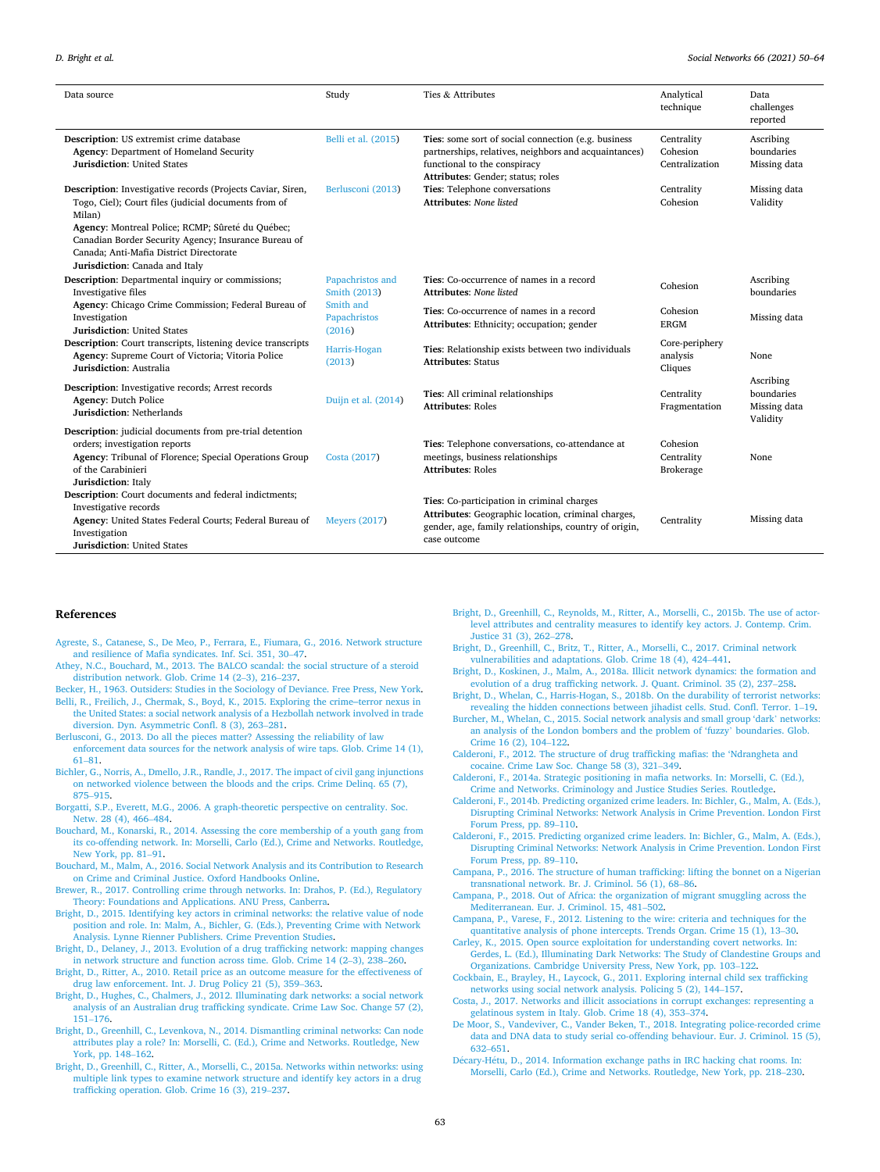<span id="page-13-0"></span>

| Data source                                                                                                                                                                                                                                                                                                            | Study                               | Ties & Attributes                                                                                                                                                                 | Analytical<br>technique                    | Data<br>challenges<br>reported                      |
|------------------------------------------------------------------------------------------------------------------------------------------------------------------------------------------------------------------------------------------------------------------------------------------------------------------------|-------------------------------------|-----------------------------------------------------------------------------------------------------------------------------------------------------------------------------------|--------------------------------------------|-----------------------------------------------------|
| Description: US extremist crime database<br>Agency: Department of Homeland Security<br><b>Jurisdiction: United States</b>                                                                                                                                                                                              | Belli et al. (2015)                 | Ties: some sort of social connection (e.g. business<br>partnerships, relatives, neighbors and acquaintances)<br>functional to the conspiracy<br>Attributes: Gender; status; roles | Centrality<br>Cohesion<br>Centralization   | Ascribing<br>boundaries<br>Missing data             |
| Description: Investigative records (Projects Caviar, Siren,<br>Togo, Ciel); Court files (judicial documents from of<br>Milan)<br>Agency: Montreal Police; RCMP; Sûreté du Québec;<br>Canadian Border Security Agency; Insurance Bureau of<br>Canada; Anti-Mafia District Directorate<br>Jurisdiction: Canada and Italy | Berlusconi (2013)                   | Ties: Telephone conversations<br>Attributes: None listed                                                                                                                          | Centrality<br>Cohesion                     | Missing data<br>Validity                            |
| <b>Description:</b> Departmental inquiry or commissions;<br>Investigative files                                                                                                                                                                                                                                        | Papachristos and<br>Smith (2013)    | Ties: Co-occurrence of names in a record<br><b>Attributes: None listed</b>                                                                                                        | Cohesion                                   | Ascribing<br>boundaries                             |
| Agency: Chicago Crime Commission; Federal Bureau of<br>Investigation<br><b>Jurisdiction: United States</b><br>Description: Court transcripts, listening device transcripts<br>Agency: Supreme Court of Victoria; Vitoria Police<br>Jurisdiction: Australia                                                             | Smith and<br>Papachristos<br>(2016) | Ties: Co-occurrence of names in a record<br>Attributes: Ethnicity; occupation; gender                                                                                             | Cohesion<br><b>ERGM</b>                    | Missing data                                        |
|                                                                                                                                                                                                                                                                                                                        | Harris-Hogan<br>(2013)              | Ties: Relationship exists between two individuals<br><b>Attributes: Status</b>                                                                                                    | Core-periphery<br>analysis<br>Cliques      | None                                                |
| Description: Investigative records; Arrest records<br><b>Agency: Dutch Police</b><br><b>Jurisdiction: Netherlands</b>                                                                                                                                                                                                  | Duijn et al. (2014)                 | Ties: All criminal relationships<br><b>Attributes: Roles</b>                                                                                                                      | Centrality<br>Fragmentation                | Ascribing<br>boundaries<br>Missing data<br>Validity |
| Description: judicial documents from pre-trial detention<br>orders; investigation reports<br>Agency: Tribunal of Florence; Special Operations Group<br>of the Carabinieri<br>Jurisdiction: Italy                                                                                                                       | Costa (2017)                        | Ties: Telephone conversations, co-attendance at<br>meetings, business relationships<br><b>Attributes: Roles</b>                                                                   | Cohesion<br>Centrality<br><b>Brokerage</b> | None                                                |
| Description: Court documents and federal indictments;<br>Investigative records<br>Agency: United States Federal Courts; Federal Bureau of<br>Investigation<br><b>Jurisdiction: United States</b>                                                                                                                       | <b>Meyers (2017)</b>                | Ties: Co-participation in criminal charges<br>Attributes: Geographic location, criminal charges,<br>gender, age, family relationships, country of origin,<br>case outcome         | Centrality                                 | Missing data                                        |

#### **References**

- [Agreste, S., Catanese, S., De Meo, P., Ferrara, E., Fiumara, G., 2016. Network structure](http://refhub.elsevier.com/S0378-8733(21)00014-9/sbref0005)  [and resilience of Mafia syndicates. Inf. Sci. 351, 30](http://refhub.elsevier.com/S0378-8733(21)00014-9/sbref0005)–47.
- [Athey, N.C., Bouchard, M., 2013. The BALCO scandal: the social structure of a steroid](http://refhub.elsevier.com/S0378-8733(21)00014-9/sbref0010)  [distribution network. Glob. Crime 14 \(2](http://refhub.elsevier.com/S0378-8733(21)00014-9/sbref0010)–3), 216–237.
- [Becker, H., 1963. Outsiders: Studies in the Sociology of Deviance. Free Press, New York.](http://refhub.elsevier.com/S0378-8733(21)00014-9/sbref0015)
- [Belli, R., Freilich, J., Chermak, S., Boyd, K., 2015. Exploring the crime](http://refhub.elsevier.com/S0378-8733(21)00014-9/sbref0020)-terror nexus in [the United States: a social network analysis of a Hezbollah network involved in trade](http://refhub.elsevier.com/S0378-8733(21)00014-9/sbref0020)  [diversion. Dyn. Asymmetric Confl. 8 \(3\), 263](http://refhub.elsevier.com/S0378-8733(21)00014-9/sbref0020)–281.
- [Berlusconi, G., 2013. Do all the pieces matter? Assessing the reliability of law](http://refhub.elsevier.com/S0378-8733(21)00014-9/sbref0025) [enforcement data sources for the network analysis of wire taps. Glob. Crime 14 \(1\),](http://refhub.elsevier.com/S0378-8733(21)00014-9/sbref0025)  61–[81](http://refhub.elsevier.com/S0378-8733(21)00014-9/sbref0025).
- [Bichler, G., Norris, A., Dmello, J.R., Randle, J., 2017. The impact of civil gang injunctions](http://refhub.elsevier.com/S0378-8733(21)00014-9/sbref0030)  [on networked violence between the bloods and the crips. Crime Delinq. 65 \(7\),](http://refhub.elsevier.com/S0378-8733(21)00014-9/sbref0030) 875–[915](http://refhub.elsevier.com/S0378-8733(21)00014-9/sbref0030).
- [Borgatti, S.P., Everett, M.G., 2006. A graph-theoretic perspective on centrality. Soc.](http://refhub.elsevier.com/S0378-8733(21)00014-9/sbref0035) [Netw. 28 \(4\), 466](http://refhub.elsevier.com/S0378-8733(21)00014-9/sbref0035)–484.
- [Bouchard, M., Konarski, R., 2014. Assessing the core membership of a youth gang from](http://refhub.elsevier.com/S0378-8733(21)00014-9/sbref0040)  [its co-offending network. In: Morselli, Carlo \(Ed.\), Crime and Networks. Routledge,](http://refhub.elsevier.com/S0378-8733(21)00014-9/sbref0040)  [New York, pp. 81](http://refhub.elsevier.com/S0378-8733(21)00014-9/sbref0040)–91.
- [Bouchard, M., Malm, A., 2016. Social Network Analysis and its Contribution to Research](http://refhub.elsevier.com/S0378-8733(21)00014-9/sbref0045)  [on Crime and Criminal Justice. Oxford Handbooks Online.](http://refhub.elsevier.com/S0378-8733(21)00014-9/sbref0045)
- [Brewer, R., 2017. Controlling crime through networks. In: Drahos, P. \(Ed.\), Regulatory](http://refhub.elsevier.com/S0378-8733(21)00014-9/sbref0050)  [Theory: Foundations and Applications. ANU Press, Canberra.](http://refhub.elsevier.com/S0378-8733(21)00014-9/sbref0050)
- [Bright, D., 2015. Identifying key actors in criminal networks: the relative value of node](http://refhub.elsevier.com/S0378-8733(21)00014-9/sbref0055)  [position and role. In: Malm, A., Bichler, G. \(Eds.\), Preventing Crime with Network](http://refhub.elsevier.com/S0378-8733(21)00014-9/sbref0055)  [Analysis. Lynne Rienner Publishers. Crime Prevention Studies](http://refhub.elsevier.com/S0378-8733(21)00014-9/sbref0055).
- [Bright, D., Delaney, J., 2013. Evolution of a drug trafficking network: mapping changes](http://refhub.elsevier.com/S0378-8733(21)00014-9/sbref0060)  [in network structure and function across time. Glob. Crime 14 \(2](http://refhub.elsevier.com/S0378-8733(21)00014-9/sbref0060)–3), 238–260.
- [Bright, D., Ritter, A., 2010. Retail price as an outcome measure for the effectiveness of](http://refhub.elsevier.com/S0378-8733(21)00014-9/sbref0065)  [drug law enforcement. Int. J. Drug Policy 21 \(5\), 359](http://refhub.elsevier.com/S0378-8733(21)00014-9/sbref0065)–363.
- [Bright, D., Hughes, C., Chalmers, J., 2012. Illuminating dark networks: a social network](http://refhub.elsevier.com/S0378-8733(21)00014-9/sbref0070)  [analysis of an Australian drug trafficking syndicate. Crime Law Soc. Change 57 \(2\),](http://refhub.elsevier.com/S0378-8733(21)00014-9/sbref0070)  151–[176](http://refhub.elsevier.com/S0378-8733(21)00014-9/sbref0070).
- [Bright, D., Greenhill, C., Levenkova, N., 2014. Dismantling criminal networks: Can node](http://refhub.elsevier.com/S0378-8733(21)00014-9/sbref0075)  [attributes play a role? In: Morselli, C. \(Ed.\), Crime and Networks. Routledge, New](http://refhub.elsevier.com/S0378-8733(21)00014-9/sbref0075) [York, pp. 148](http://refhub.elsevier.com/S0378-8733(21)00014-9/sbref0075)–162.
- [Bright, D., Greenhill, C., Ritter, A., Morselli, C., 2015a. Networks within networks: using](http://refhub.elsevier.com/S0378-8733(21)00014-9/sbref0080)  [multiple link types to examine network structure and identify key actors in a drug](http://refhub.elsevier.com/S0378-8733(21)00014-9/sbref0080) [trafficking operation. Glob. Crime 16 \(3\), 219](http://refhub.elsevier.com/S0378-8733(21)00014-9/sbref0080)–237.
- [Bright, D., Greenhill, C., Reynolds, M., Ritter, A., Morselli, C., 2015b. The use of actor](http://refhub.elsevier.com/S0378-8733(21)00014-9/sbref0085)[level attributes and centrality measures to identify key actors. J. Contemp. Crim.](http://refhub.elsevier.com/S0378-8733(21)00014-9/sbref0085)  [Justice 31 \(3\), 262](http://refhub.elsevier.com/S0378-8733(21)00014-9/sbref0085)–278.
- [Bright, D., Greenhill, C., Britz, T., Ritter, A., Morselli, C., 2017. Criminal network](http://refhub.elsevier.com/S0378-8733(21)00014-9/sbref0090) [vulnerabilities and adaptations. Glob. Crime 18 \(4\), 424](http://refhub.elsevier.com/S0378-8733(21)00014-9/sbref0090)–441.
- [Bright, D., Koskinen, J., Malm, A., 2018a. Illicit network dynamics: the formation and](http://refhub.elsevier.com/S0378-8733(21)00014-9/sbref0095)  [evolution of a drug trafficking network. J. Quant. Criminol. 35 \(2\), 237](http://refhub.elsevier.com/S0378-8733(21)00014-9/sbref0095)–258.
- Bright, D., Whelan, C., Harris-Hogan, S., 2018b. On the durability of terrorist networks: [revealing the hidden connections between jihadist cells. Stud. Confl. Terror. 1](http://refhub.elsevier.com/S0378-8733(21)00014-9/sbref0100)–19.
- [Burcher, M., Whelan, C., 2015. Social network analysis and small group 'dark](http://refhub.elsevier.com/S0378-8733(21)00014-9/sbref0105)' networks: [an analysis of the London bombers and the problem of 'fuzzy](http://refhub.elsevier.com/S0378-8733(21)00014-9/sbref0105)' boundaries. Glob. [Crime 16 \(2\), 104](http://refhub.elsevier.com/S0378-8733(21)00014-9/sbref0105)–122.
- [Calderoni, F., 2012. The structure of drug trafficking mafias: the 'Ndrangheta and](http://refhub.elsevier.com/S0378-8733(21)00014-9/sbref0110) [cocaine. Crime Law Soc. Change 58 \(3\), 321](http://refhub.elsevier.com/S0378-8733(21)00014-9/sbref0110)–349.
- [Calderoni, F., 2014a. Strategic positioning in mafia networks. In: Morselli, C. \(Ed.\),](http://refhub.elsevier.com/S0378-8733(21)00014-9/sbref0115)  [Crime and Networks. Criminology and Justice Studies Series. Routledge.](http://refhub.elsevier.com/S0378-8733(21)00014-9/sbref0115)
- [Calderoni, F., 2014b. Predicting organized crime leaders. In: Bichler, G., Malm, A. \(Eds.\),](http://refhub.elsevier.com/S0378-8733(21)00014-9/sbref0120)  [Disrupting Criminal Networks: Network Analysis in Crime Prevention. London First](http://refhub.elsevier.com/S0378-8733(21)00014-9/sbref0120)  [Forum Press, pp. 89](http://refhub.elsevier.com/S0378-8733(21)00014-9/sbref0120)–110.
- [Calderoni, F., 2015. Predicting organized crime leaders. In: Bichler, G., Malm, A. \(Eds.\),](http://refhub.elsevier.com/S0378-8733(21)00014-9/sbref0125)  [Disrupting Criminal Networks: Network Analysis in Crime Prevention. London First](http://refhub.elsevier.com/S0378-8733(21)00014-9/sbref0125)  [Forum Press, pp. 89](http://refhub.elsevier.com/S0378-8733(21)00014-9/sbref0125)–110.
- [Campana, P., 2016. The structure of human trafficking: lifting the bonnet on a Nigerian](http://refhub.elsevier.com/S0378-8733(21)00014-9/sbref0130)  [transnational network. Br. J. Criminol. 56 \(1\), 68](http://refhub.elsevier.com/S0378-8733(21)00014-9/sbref0130)–86.
- [Campana, P., 2018. Out of Africa: the organization of migrant smuggling across the](http://refhub.elsevier.com/S0378-8733(21)00014-9/sbref0135)  [Mediterranean. Eur. J. Criminol. 15, 481](http://refhub.elsevier.com/S0378-8733(21)00014-9/sbref0135)–502.
- [Campana, P., Varese, F., 2012. Listening to the wire: criteria and techniques for the](http://refhub.elsevier.com/S0378-8733(21)00014-9/sbref0140)  [quantitative analysis of phone intercepts. Trends Organ. Crime 15 \(1\), 13](http://refhub.elsevier.com/S0378-8733(21)00014-9/sbref0140)–30.
- [Carley, K., 2015. Open source exploitation for understanding covert networks. In:](http://refhub.elsevier.com/S0378-8733(21)00014-9/sbref0145)  [Gerdes, L. \(Ed.\), Illuminating Dark Networks: The Study of Clandestine Groups and](http://refhub.elsevier.com/S0378-8733(21)00014-9/sbref0145)  [Organizations. Cambridge University Press, New York, pp. 103](http://refhub.elsevier.com/S0378-8733(21)00014-9/sbref0145)–122.
- [Cockbain, E., Brayley, H., Laycock, G., 2011. Exploring internal child sex trafficking](http://refhub.elsevier.com/S0378-8733(21)00014-9/sbref0150) [networks using social network analysis. Policing 5 \(2\), 144](http://refhub.elsevier.com/S0378-8733(21)00014-9/sbref0150)–157.
- [Costa, J., 2017. Networks and illicit associations in corrupt exchanges: representing a](http://refhub.elsevier.com/S0378-8733(21)00014-9/sbref0155)  [gelatinous system in Italy. Glob. Crime 18 \(4\), 353](http://refhub.elsevier.com/S0378-8733(21)00014-9/sbref0155)–374.
- [De Moor, S., Vandeviver, C., Vander Beken, T., 2018. Integrating police-recorded crime](http://refhub.elsevier.com/S0378-8733(21)00014-9/sbref0160)  [data and DNA data to study serial co-offending behaviour. Eur. J. Criminol. 15 \(5\),](http://refhub.elsevier.com/S0378-8733(21)00014-9/sbref0160)  632–[651](http://refhub.elsevier.com/S0378-8733(21)00014-9/sbref0160).
- Décary-Hétu, D., 2014. Information exchange paths in IRC hacking chat rooms. In: [Morselli, Carlo \(Ed.\), Crime and Networks. Routledge, New York, pp. 218](http://refhub.elsevier.com/S0378-8733(21)00014-9/sbref0165)–230.